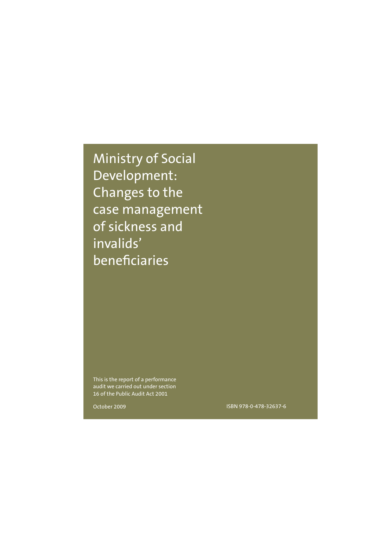Ministry of Social Development: Changes to the case management of sickness and invalids' beneficiaries

This is the report of a performance audit we carried out under section 16 of the Public Audit Act 2001

October 2009

ISBN 978-0-478-32637-6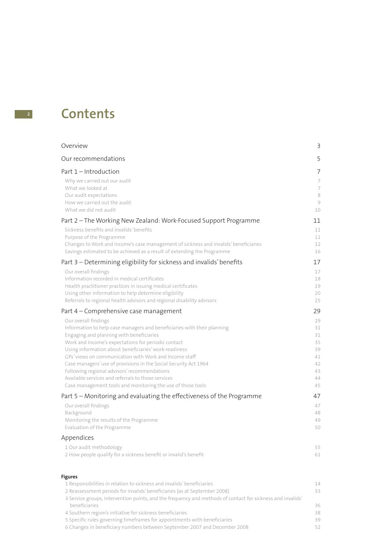## **<sup>2</sup> Contents**

| Overview                                                                                                                                                                                                                                                                                                                                                                                                                                                                                                                                                       | 3                                                        |
|----------------------------------------------------------------------------------------------------------------------------------------------------------------------------------------------------------------------------------------------------------------------------------------------------------------------------------------------------------------------------------------------------------------------------------------------------------------------------------------------------------------------------------------------------------------|----------------------------------------------------------|
| Our recommendations                                                                                                                                                                                                                                                                                                                                                                                                                                                                                                                                            | 5                                                        |
| Part 1 - Introduction<br>Why we carried out our audit<br>What we looked at<br>Our audit expectations<br>How we carried out the audit<br>What we did not audit                                                                                                                                                                                                                                                                                                                                                                                                  | 7<br>7<br>7<br>8<br>9<br>10                              |
| Part 2 - The Working New Zealand: Work-Focused Support Programme                                                                                                                                                                                                                                                                                                                                                                                                                                                                                               | 11                                                       |
| Sickness benefits and invalids' benefits<br>Purpose of the Programme<br>Changes to Work and Income's case management of sickness and invalids' beneficiaries<br>Savings estimated to be achieved as a result of extending the Programme                                                                                                                                                                                                                                                                                                                        | 11<br>11<br>12<br>16                                     |
| Part 3 – Determining eligibility for sickness and invalids' benefits                                                                                                                                                                                                                                                                                                                                                                                                                                                                                           | 17                                                       |
| Our overall findings<br>Information recorded in medical certificates<br>Health practitioner practices in issuing medical certificates<br>Using other information to help determine eligibility<br>Referrals to regional health advisors and regional disability advisors                                                                                                                                                                                                                                                                                       | 17<br>18<br>19<br>20<br>25                               |
| Part 4 – Comprehensive case management                                                                                                                                                                                                                                                                                                                                                                                                                                                                                                                         | 29                                                       |
| Our overall findings<br>Information to help case managers and beneficiaries with their planning<br>Engaging and planning with beneficiaries<br>Work and Income's expectations for periodic contact<br>Using information about beneficiaries' work-readiness<br>GPs' views on communication with Work and Income staff<br>Case managers' use of provisions in the Social Security Act 1964<br>Following regional advisors' recommendations<br>Available services and referrals to those services<br>Case management tools and monitoring the use of those tools | 29<br>31<br>31<br>35<br>39<br>41<br>42<br>43<br>44<br>45 |
| Part 5 – Monitoring and evaluating the effectiveness of the Programme                                                                                                                                                                                                                                                                                                                                                                                                                                                                                          | 47                                                       |
| Our overall findings<br>Background<br>Monitoring the results of the Programme<br>Evaluation of the Programme                                                                                                                                                                                                                                                                                                                                                                                                                                                   | 47<br>48<br>49<br>50                                     |
| Appendices                                                                                                                                                                                                                                                                                                                                                                                                                                                                                                                                                     |                                                          |
| 1 Our audit methodology<br>2 How people qualify for a sickness benefit or invalid's benefit                                                                                                                                                                                                                                                                                                                                                                                                                                                                    | 55<br>61                                                 |
| <b>Figures</b><br>1 Responsibilities in relation to sickness and invalids' beneficiaries<br>2 Reassessment periods for invalids' beneficiaries (as at September 2008)<br>3 Service groups, intervention points, and the frequency and methods of contact for sickness and invalids'<br>beneficiaries<br>4 Southern region's initiative for sickness beneficiaries                                                                                                                                                                                              | 14<br>33<br>36<br>38                                     |
| 5 Specific rules governing timeframes for appointments with beneficiaries                                                                                                                                                                                                                                                                                                                                                                                                                                                                                      | 39                                                       |

6 Changes in benefi ciary numbers between September 2007 and December 2008 52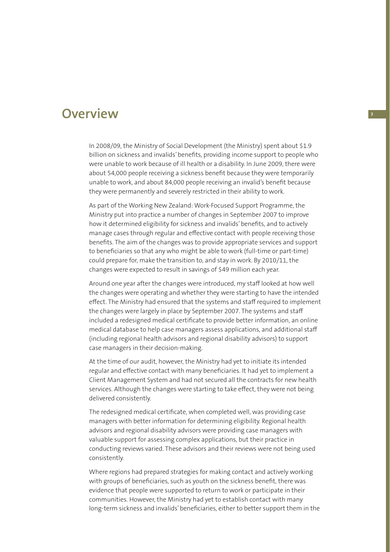## **Overview <sup>3</sup>**

In 2008/09, the Ministry of Social Development (the Ministry) spent about \$1.9 billion on sickness and invalids' benefits, providing income support to people who were unable to work because of ill health or a disability. In June 2009, there were about 54,000 people receiving a sickness benefit because they were temporarily unable to work, and about 84,000 people receiving an invalid's benefit because they were permanently and severely restricted in their ability to work.

As part of the Working New Zealand: Work-Focused Support Programme, the Ministry put into practice a number of changes in September 2007 to improve how it determined eligibility for sickness and invalids' benefits, and to actively manage cases through regular and effective contact with people receiving those benefits. The aim of the changes was to provide appropriate services and support to beneficiaries so that any who might be able to work (full-time or part-time) could prepare for, make the transition to, and stay in work. By 2010/11, the changes were expected to result in savings of \$49 million each year.

Around one year after the changes were introduced, my staff looked at how well the changes were operating and whether they were starting to have the intended effect. The Ministry had ensured that the systems and staff required to implement the changes were largely in place by September 2007. The systems and staff included a redesigned medical certificate to provide better information, an online medical database to help case managers assess applications, and additional staff (including regional health advisors and regional disability advisors) to support case managers in their decision-making.

At the time of our audit, however, the Ministry had yet to initiate its intended regular and effective contact with many beneficiaries. It had yet to implement a Client Management System and had not secured all the contracts for new health services. Although the changes were starting to take effect, they were not being delivered consistently.

The redesigned medical certificate, when completed well, was providing case managers with better information for determining eligibility. Regional health advisors and regional disability advisors were providing case managers with valuable support for assessing complex applications, but their practice in conducting reviews varied. These advisors and their reviews were not being used consistently.

Where regions had prepared strategies for making contact and actively working with groups of beneficiaries, such as youth on the sickness benefit, there was evidence that people were supported to return to work or participate in their communities. However, the Ministry had yet to establish contact with many long-term sickness and invalids' beneficiaries, either to better support them in the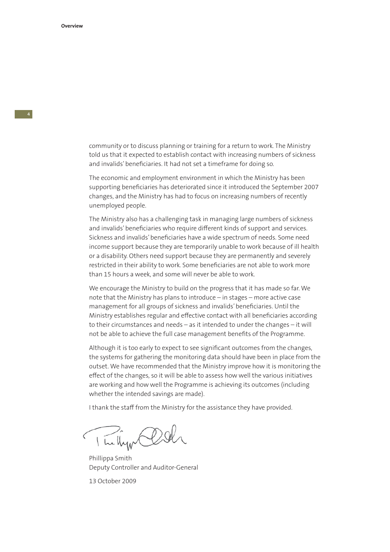community or to discuss planning or training for a return to work. The Ministry told us that it expected to establish contact with increasing numbers of sickness and invalids' beneficiaries. It had not set a timeframe for doing so.

The economic and employment environment in which the Ministry has been supporting beneficiaries has deteriorated since it introduced the September 2007 changes, and the Ministry has had to focus on increasing numbers of recently unemployed people.

The Ministry also has a challenging task in managing large numbers of sickness and invalids' beneficiaries who require different kinds of support and services. Sickness and invalids' beneficiaries have a wide spectrum of needs. Some need income support because they are temporarily unable to work because of ill health or a disability. Others need support because they are permanently and severely restricted in their ability to work. Some beneficiaries are not able to work more than 15 hours a week, and some will never be able to work.

We encourage the Ministry to build on the progress that it has made so far. We note that the Ministry has plans to introduce – in stages – more active case management for all groups of sickness and invalids' beneficiaries. Until the Ministry establishes regular and effective contact with all beneficiaries according to their circumstances and needs – as it intended to under the changes – it will not be able to achieve the full case management benefits of the Programme.

Although it is too early to expect to see significant outcomes from the changes, the systems for gathering the monitoring data should have been in place from the outset. We have recommended that the Ministry improve how it is monitoring the effect of the changes, so it will be able to assess how well the various initiatives are working and how well the Programme is achieving its outcomes (including whether the intended savings are made).

I thank the staff from the Ministry for the assistance they have provided.

1 In lyn

Phillippa Smith Deputy Controller and Auditor-General

13 October 2009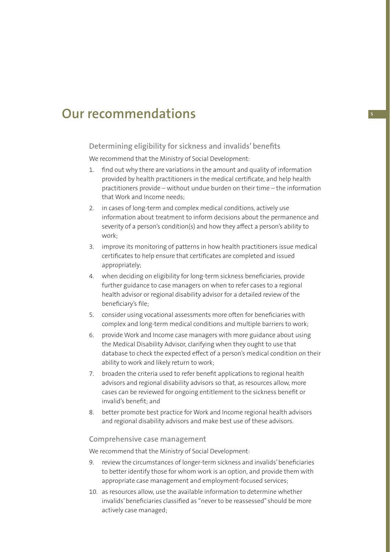## **Our recommendations <sup>5</sup>**

#### **Determining eligibility for sickness and invalids' benefits**

We recommend that the Ministry of Social Development:

- 1. find out why there are variations in the amount and quality of information provided by health practitioners in the medical certificate, and help health practitioners provide – without undue burden on their time – the information that Work and Income needs;
- 2. in cases of long-term and complex medical conditions, actively use information about treatment to inform decisions about the permanence and severity of a person's condition(s) and how they affect a person's ability to work;
- 3. improve its monitoring of patterns in how health practitioners issue medical certificates to help ensure that certificates are completed and issued appropriately;
- 4. when deciding on eligibility for long-term sickness beneficiaries, provide further guidance to case managers on when to refer cases to a regional health advisor or regional disability advisor for a detailed review of the beneficiary's file;
- 5. consider using vocational assessments more often for beneficiaries with complex and long-term medical conditions and multiple barriers to work;
- 6. provide Work and Income case managers with more guidance about using the Medical Disability Advisor, clarifying when they ought to use that database to check the expected effect of a person's medical condition on their ability to work and likely return to work;
- 7. broaden the criteria used to refer benefit applications to regional health advisors and regional disability advisors so that, as resources allow, more cases can be reviewed for ongoing entitlement to the sickness benefit or invalid's benefit: and
- 8. better promote best practice for Work and Income regional health advisors and regional disability advisors and make best use of these advisors.

#### **Comprehensive case management**

We recommend that the Ministry of Social Development:

- 9. review the circumstances of longer-term sickness and invalids' beneficiaries to better identify those for whom work is an option, and provide them with appropriate case management and employment-focused services;
- 10. as resources allow, use the available information to determine whether invalids' beneficiaries classified as "never to be reassessed" should be more actively case managed;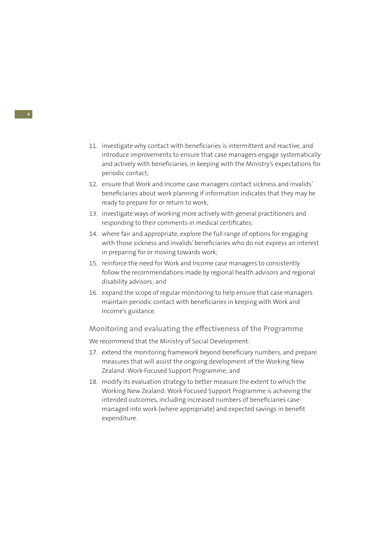- 11. investigate why contact with beneficiaries is intermittent and reactive, and introduce improvements to ensure that case managers engage systematically and actively with beneficiaries, in keeping with the Ministry's expectations for periodic contact;
- 12. ensure that Work and Income case managers contact sickness and invalids' beneficiaries about work planning if information indicates that they may be ready to prepare for or return to work;
- 13. investigate ways of working more actively with general practitioners and responding to their comments in medical certificates;
- 14. where fair and appropriate, explore the full range of options for engaging with those sickness and invalids' beneficiaries who do not express an interest in preparing for or moving towards work;
- 15. reinforce the need for Work and Income case managers to consistently follow the recommendations made by regional health advisors and regional disability advisors; and
- 16. expand the scope of regular monitoring to help ensure that case managers maintain periodic contact with beneficiaries in keeping with Work and Income's guidance.

**Monitoring and evaluating the effectiveness of the Programme** 

We recommend that the Ministry of Social Development:

- 17. extend the monitoring framework beyond beneficiary numbers, and prepare measures that will assist the ongoing development of the Working New Zealand: Work-Focused Support Programme; and
- 18. modify its evaluation strategy to better measure the extent to which the Working New Zealand: Work-Focused Support Programme is achieving the intended outcomes, including increased numbers of beneficiaries casemanaged into work (where appropriate) and expected savings in benefit expenditure.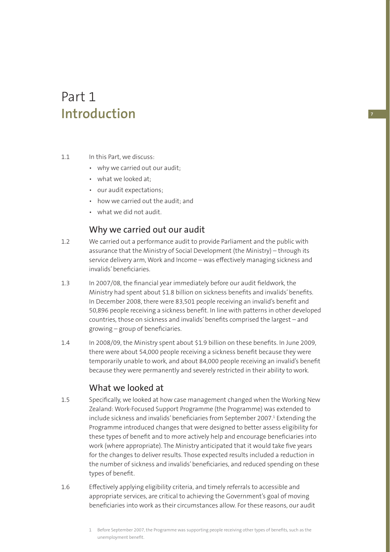## Part 1 **Introduction 7**

### 1.1 In this Part, we discuss:

- why we carried out our audit;
- what we looked at;
- our audit expectations;
- how we carried out the audit; and
- what we did not audit.

## Why we carried out our audit

- 1.2 We carried out a performance audit to provide Parliament and the public with assurance that the Ministry of Social Development (the Ministry) – through its service delivery arm, Work and Income – was effectively managing sickness and invalids' beneficiaries.
- 1.3 In 2007/08, the financial year immediately before our audit fieldwork, the Ministry had spent about \$1.8 billion on sickness benefits and invalids' benefits. In December 2008, there were 83,501 people receiving an invalid's benefit and 50,896 people receiving a sickness benefit. In line with patterns in other developed countries, those on sickness and invalids' benefits comprised the largest – and growing  $-$  group of beneficiaries.
- 1.4 In 2008/09, the Ministry spent about \$1.9 billion on these benefits. In June 2009, there were about 54,000 people receiving a sickness benefit because they were temporarily unable to work, and about 84,000 people receiving an invalid's benefit because they were permanently and severely restricted in their ability to work.

## What we looked at

- 1.5 Specifically, we looked at how case management changed when the Working New Zealand: Work-Focused Support Programme (the Programme) was extended to include sickness and invalids' beneficiaries from September 2007.<sup>1</sup> Extending the Programme introduced changes that were designed to better assess eligibility for these types of benefit and to more actively help and encourage beneficiaries into work (where appropriate). The Ministry anticipated that it would take five years for the changes to deliver results. Those expected results included a reduction in the number of sickness and invalids' beneficiaries, and reduced spending on these types of benefit.
- 1.6 Effectively applying eligibility criteria, and timely referrals to accessible and appropriate services, are critical to achieving the Government's goal of moving beneficiaries into work as their circumstances allow. For these reasons, our audit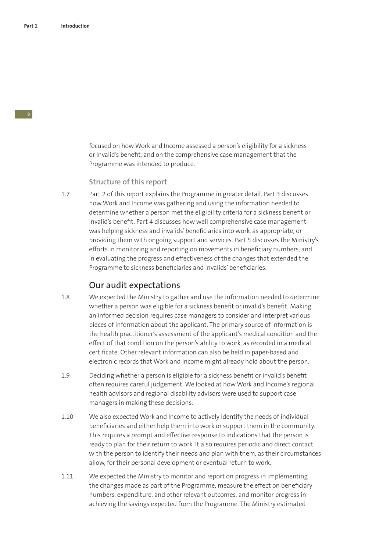focused on how Work and Income assessed a person's eligibility for a sickness or invalid's benefit, and on the comprehensive case management that the Programme was intended to produce.

#### **Structure of this report**

1.7 Part 2 of this report explains the Programme in greater detail. Part 3 discusses how Work and Income was gathering and using the information needed to determine whether a person met the eligibility criteria for a sickness benefit or invalid's benefit. Part 4 discusses how well comprehensive case management was helping sickness and invalids' beneficiaries into work, as appropriate, or providing them with ongoing support and services. Part 5 discusses the Ministry's efforts in monitoring and reporting on movements in beneficiary numbers, and in evaluating the progress and effectiveness of the changes that extended the Programme to sickness beneficiaries and invalids' beneficiaries.

## Our audit expectations

- 1.8 We expected the Ministry to gather and use the information needed to determine whether a person was eligible for a sickness benefit or invalid's benefit. Making an informed decision requires case managers to consider and interpret various pieces of information about the applicant. The primary source of information is the health practitioner's assessment of the applicant's medical condition and the effect of that condition on the person's ability to work, as recorded in a medical certificate. Other relevant information can also be held in paper-based and electronic records that Work and Income might already hold about the person.
- 1.9 Deciding whether a person is eligible for a sickness benefit or invalid's benefit often requires careful judgement. We looked at how Work and Income's regional health advisors and regional disability advisors were used to support case managers in making these decisions.
- 1.10 We also expected Work and Income to actively identify the needs of individual beneficiaries and either help them into work or support them in the community. This requires a prompt and effective response to indications that the person is ready to plan for their return to work. It also requires periodic and direct contact with the person to identify their needs and plan with them, as their circumstances allow, for their personal development or eventual return to work.
- 1.11 We expected the Ministry to monitor and report on progress in implementing the changes made as part of the Programme, measure the effect on beneficiary numbers, expenditure, and other relevant outcomes, and monitor progress in achieving the savings expected from the Programme. The Ministry estimated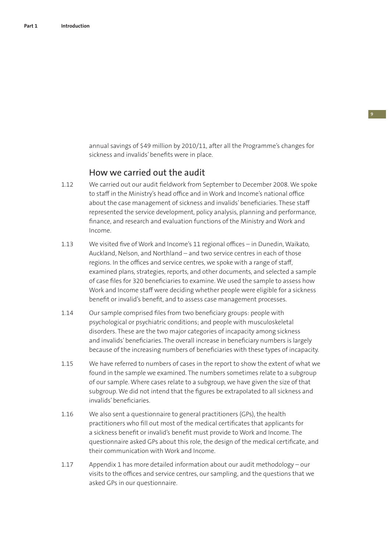annual savings of \$49 million by 2010/11, after all the Programme's changes for sickness and invalids' benefits were in place.

### How we carried out the audit

- 1.12 We carried out our audit fieldwork from September to December 2008. We spoke to staff in the Ministry's head office and in Work and Income's national office about the case management of sickness and invalids' beneficiaries. These staff represented the service development, policy analysis, planning and performance, finance, and research and evaluation functions of the Ministry and Work and Income.
- $1.13$  We visited five of Work and Income's 11 regional offices in Dunedin, Waikato, Auckland, Nelson, and Northland – and two service centres in each of those regions. In the offices and service centres, we spoke with a range of staff, examined plans, strategies, reports, and other documents, and selected a sample of case files for 320 beneficiaries to examine. We used the sample to assess how Work and Income staff were deciding whether people were eligible for a sickness benefit or invalid's benefit, and to assess case management processes.
- 1.14 Our sample comprised files from two beneficiary groups: people with psychological or psychiatric conditions; and people with musculoskeletal disorders. These are the two major categories of incapacity among sickness and invalids' beneficiaries. The overall increase in beneficiary numbers is largely because of the increasing numbers of beneficiaries with these types of incapacity.
- 1.15 We have referred to numbers of cases in the report to show the extent of what we found in the sample we examined. The numbers sometimes relate to a subgroup of our sample. Where cases relate to a subgroup, we have given the size of that subgroup. We did not intend that the figures be extrapolated to all sickness and invalids' beneficiaries.
- 1.16 We also sent a questionnaire to general practitioners (GPs), the health practitioners who fill out most of the medical certificates that applicants for a sickness benefit or invalid's benefit must provide to Work and Income. The questionnaire asked GPs about this role, the design of the medical certificate, and their communication with Work and Income.
- 1.17 Appendix 1 has more detailed information about our audit methodology our visits to the offices and service centres, our sampling, and the questions that we asked GPs in our questionnaire.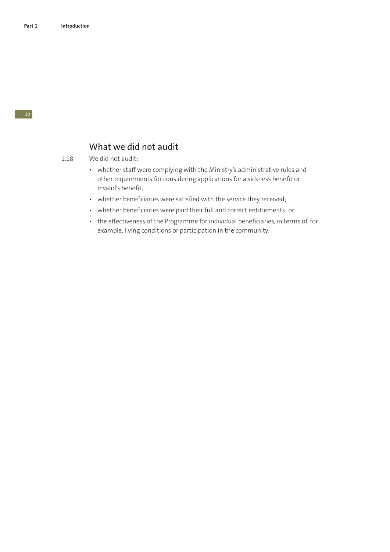## What we did not audit

1.18 We did not audit:

- whether staff were complying with the Ministry's administrative rules and other requirements for considering applications for a sickness benefit or invalid's benefit;
- whether beneficiaries were satisfied with the service they received;
- whether beneficiaries were paid their full and correct entitlements; or
- the effectiveness of the Programme for individual beneficiaries, in terms of, for example, living conditions or participation in the community.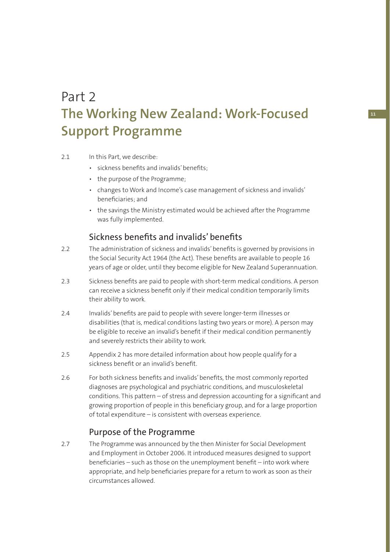# Part 2 **The Working New Zealand: Work-Focused Support Programme**

#### 2.1 In this Part, we describe:

- sickness benefits and invalids' benefits:
- the purpose of the Programme;
- changes to Work and Income's case management of sickness and invalids' beneficiaries; and
- the savings the Ministry estimated would be achieved after the Programme was fully implemented.

## Sickness benefits and invalids' benefits

- 2.2 The administration of sickness and invalids' benefits is governed by provisions in the Social Security Act 1964 (the Act). These benefits are available to people 16 years of age or older, until they become eligible for New Zealand Superannuation.
- 2.3 Sickness benefits are paid to people with short-term medical conditions. A person can receive a sickness benefit only if their medical condition temporarily limits their ability to work.
- 2.4 Invalids' benefits are paid to people with severe longer-term illnesses or disabilities (that is, medical conditions lasting two years or more). A person may be eligible to receive an invalid's benefit if their medical condition permanently and severely restricts their ability to work.
- 2.5 Appendix 2 has more detailed information about how people qualify for a sickness benefit or an invalid's benefit.
- 2.6 For both sickness benefits and invalids' benefits, the most commonly reported diagnoses are psychological and psychiatric conditions, and musculoskeletal conditions. This pattern  $-$  of stress and depression accounting for a significant and growing proportion of people in this beneficiary group, and for a large proportion of total expenditure – is consistent with overseas experience.

## Purpose of the Programme

2.7 The Programme was announced by the then Minister for Social Development and Employment in October 2006. It introduced measures designed to support beneficiaries – such as those on the unemployment benefit – into work where appropriate, and help beneficiaries prepare for a return to work as soon as their circumstances allowed.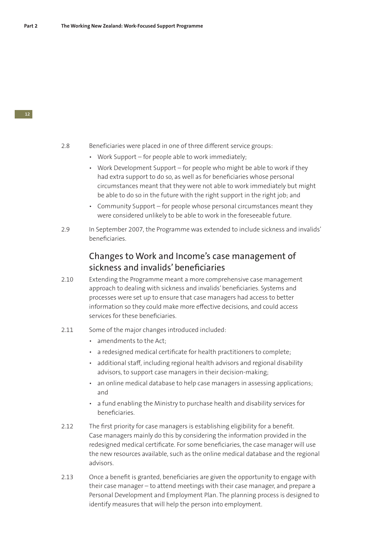#### 2.8 Beneficiaries were placed in one of three different service groups:

- Work Support for people able to work immediately;
- Work Development Support for people who might be able to work if they had extra support to do so, as well as for beneficiaries whose personal circumstances meant that they were not able to work immediately but might be able to do so in the future with the right support in the right job; and
- Community Support for people whose personal circumstances meant they were considered unlikely to be able to work in the foreseeable future.
- 2.9 In September 2007, the Programme was extended to include sickness and invalids' beneficiaries.

## Changes to Work and Income's case management of sickness and invalids' beneficiaries

- 2.10 Extending the Programme meant a more comprehensive case management approach to dealing with sickness and invalids' beneficiaries. Systems and processes were set up to ensure that case managers had access to better information so they could make more effective decisions, and could access services for these beneficiaries.
- 2.11 Some of the major changes introduced included:
	- amendments to the Act;
	- a redesigned medical certificate for health practitioners to complete;
	- additional staff, including regional health advisors and regional disability advisors, to support case managers in their decision-making;
	- an online medical database to help case managers in assessing applications; and
	- a fund enabling the Ministry to purchase health and disability services for beneficiaries.
- 2.12 The first priority for case managers is establishing eligibility for a benefit. Case managers mainly do this by considering the information provided in the redesigned medical certificate. For some beneficiaries, the case manager will use the new resources available, such as the online medical database and the regional advisors.
- 2.13 Once a benefit is granted, beneficiaries are given the opportunity to engage with their case manager – to attend meetings with their case manager, and prepare a Personal Development and Employment Plan. The planning process is designed to identify measures that will help the person into employment.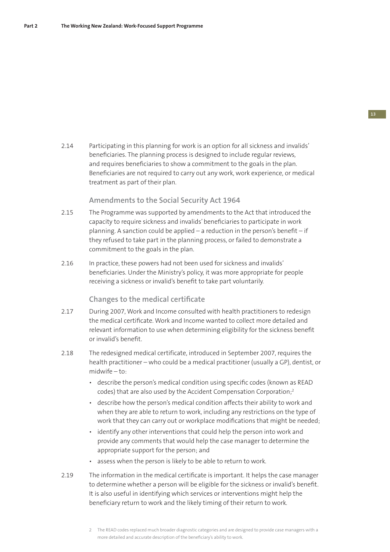2.14 Participating in this planning for work is an option for all sickness and invalids' beneficiaries. The planning process is designed to include regular reviews, and requires beneficiaries to show a commitment to the goals in the plan. Beneficiaries are not required to carry out any work, work experience, or medical treatment as part of their plan.

**Amendments to the Social Security Act 1964**

- 2.15 The Programme was supported by amendments to the Act that introduced the capacity to require sickness and invalids' beneficiaries to participate in work planning. A sanction could be applied  $-$  a reduction in the person's benefit  $-$  if they refused to take part in the planning process, or failed to demonstrate a commitment to the goals in the plan.
- 2.16 In practice, these powers had not been used for sickness and invalids' beneficiaries. Under the Ministry's policy, it was more appropriate for people receiving a sickness or invalid's benefit to take part voluntarily.

#### **Changes to the medical certificate**

- 2.17 During 2007, Work and Income consulted with health practitioners to redesign the medical certificate. Work and Income wanted to collect more detailed and relevant information to use when determining eligibility for the sickness benefit or invalid's benefit.
- 2.18 The redesigned medical certificate, introduced in September 2007, requires the health practitioner – who could be a medical practitioner (usually a GP), dentist, or midwife – to:
	- describe the person's medical condition using specific codes (known as READ codes) that are also used by the Accident Compensation Corporation;2
	- describe how the person's medical condition affects their ability to work and when they are able to return to work, including any restrictions on the type of work that they can carry out or workplace modifications that might be needed;
	- identify any other interventions that could help the person into work and provide any comments that would help the case manager to determine the appropriate support for the person; and
	- assess when the person is likely to be able to return to work.
- 2.19 The information in the medical certificate is important. It helps the case manager to determine whether a person will be eligible for the sickness or invalid's benefit. It is also useful in identifying which services or interventions might help the beneficiary return to work and the likely timing of their return to work.

<sup>2</sup> The READ codes replaced much broader diagnostic categories and are designed to provide case managers with a more detailed and accurate description of the beneficiary's ability to work.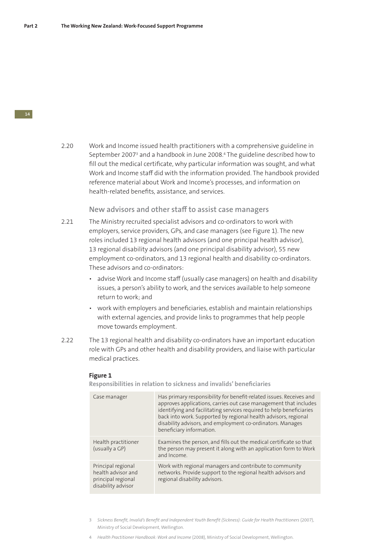2.20 Work and Income issued health practitioners with a comprehensive guideline in September 2007<sup>3</sup> and a handbook in June 2008.<sup>4</sup> The guideline described how to fill out the medical certificate, why particular information was sought, and what Work and Income staff did with the information provided. The handbook provided reference material about Work and Income's processes, and information on health-related benefits, assistance, and services.

**New advisors and other staff to assist case managers**

- 2.21 The Ministry recruited specialist advisors and co-ordinators to work with employers, service providers, GPs, and case managers (see Figure 1). The new roles included 13 regional health advisors (and one principal health advisor), 13 regional disability advisors (and one principal disability advisor), 55 new employment co-ordinators, and 13 regional health and disability co-ordinators. These advisors and co-ordinators:
	- advise Work and Income staff (usually case managers) on health and disability issues, a person's ability to work, and the services available to help someone return to work; and
	- work with employers and beneficiaries, establish and maintain relationships with external agencies, and provide links to programmes that help people move towards employment.
- 2.22 The 13 regional health and disability co-ordinators have an important education role with GPs and other health and disability providers, and liaise with particular medical practices.

#### **Figure 1**

**Responsibilities in relation to sickness and invalids' beneficiaries** 

| Case manager                                                                         | Has primary responsibility for benefit-related issues. Receives and<br>approves applications, carries out case management that includes<br>identifying and facilitating services required to help beneficiaries<br>back into work. Supported by regional health advisors, regional<br>disability advisors, and employment co-ordinators. Manages<br>beneficiary information. |
|--------------------------------------------------------------------------------------|------------------------------------------------------------------------------------------------------------------------------------------------------------------------------------------------------------------------------------------------------------------------------------------------------------------------------------------------------------------------------|
| Health practitioner<br>(usually a GP)                                                | Examines the person, and fills out the medical certificate so that<br>the person may present it along with an application form to Work<br>and Income.                                                                                                                                                                                                                        |
| Principal regional<br>health advisor and<br>principal regional<br>disability advisor | Work with regional managers and contribute to community<br>networks. Provide support to the regional health advisors and<br>regional disability advisors.                                                                                                                                                                                                                    |

- 3 *Sickness Benefi t, Invalid's Benefi t and Independent Youth Benefi t (Sickness): Guide for Health Practitioners* (2007), Ministry of Social Development, Wellington.
- 4 *Health Practitioner Handbook: Work and Income* (2008), Ministry of Social Development, Wellington.

#### **14**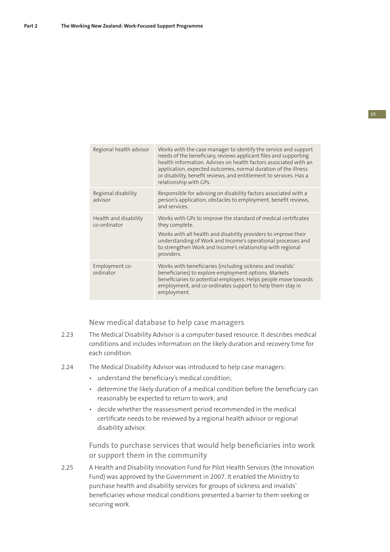| Regional health advisor               | Works with the case manager to identify the service and support<br>needs of the beneficiary, reviews applicant files and supporting<br>health information. Advises on health factors associated with an<br>application, expected outcomes, normal duration of the illness<br>or disability, benefit reviews, and entitlement to services. Has a<br>relationship with GPs. |
|---------------------------------------|---------------------------------------------------------------------------------------------------------------------------------------------------------------------------------------------------------------------------------------------------------------------------------------------------------------------------------------------------------------------------|
| Regional disability<br>advisor        | Responsible for advising on disability factors associated with a<br>person's application, obstacles to employment, benefit reviews,<br>and services.                                                                                                                                                                                                                      |
| Health and disability<br>co-ordinator | Works with GPs to improve the standard of medical certificates<br>they complete.<br>Works with all health and disability providers to improve their<br>understanding of Work and Income's operational processes and<br>to strengthen Work and Income's relationship with regional<br>providers.                                                                           |
| Employment co-<br>ordinator           | Works with beneficiaries (including sickness and invalids'<br>beneficiaries) to explore employment options. Markets<br>beneficiaries to potential employers. Helps people move towards<br>employment, and co-ordinates support to help them stay in<br>employment.                                                                                                        |

**New medical database to help case managers**

- 2.23 The Medical Disability Advisor is a computer-based resource. It describes medical conditions and includes information on the likely duration and recovery time for each condition.
- 2.24 The Medical Disability Advisor was introduced to help case managers:
	- understand the beneficiary's medical condition;
	- determine the likely duration of a medical condition before the beneficiary can reasonably be expected to return to work; and
	- decide whether the reassessment period recommended in the medical certificate needs to be reviewed by a regional health advisor or regional disability advisor.

Funds to purchase services that would help beneficiaries into work **or support them in the community**

2.25 A Health and Disability Innovation Fund for Pilot Health Services (the Innovation Fund) was approved by the Government in 2007. It enabled the Ministry to purchase health and disability services for groups of sickness and invalids' beneficiaries whose medical conditions presented a barrier to them seeking or securing work.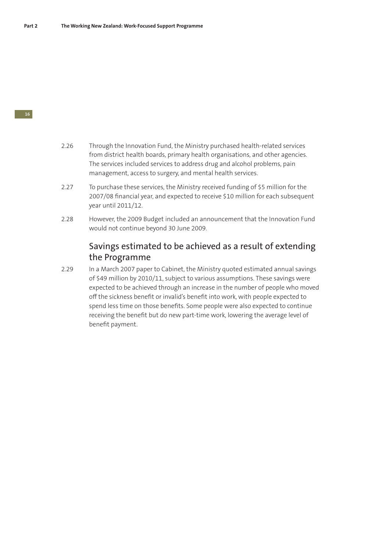### 2.26 Through the Innovation Fund, the Ministry purchased health-related services from district health boards, primary health organisations, and other agencies. The services included services to address drug and alcohol problems, pain management, access to surgery, and mental health services.

- 2.27 To purchase these services, the Ministry received funding of \$5 million for the 2007/08 financial year, and expected to receive \$10 million for each subsequent year until 2011/12.
- 2.28 However, the 2009 Budget included an announcement that the Innovation Fund would not continue beyond 30 June 2009.

## Savings estimated to be achieved as a result of extending the Programme

2.29 In a March 2007 paper to Cabinet, the Ministry quoted estimated annual savings of \$49 million by 2010/11, subject to various assumptions. These savings were expected to be achieved through an increase in the number of people who moved off the sickness benefit or invalid's benefit into work, with people expected to spend less time on those benefits. Some people were also expected to continue receiving the benefit but do new part-time work, lowering the average level of benefit payment.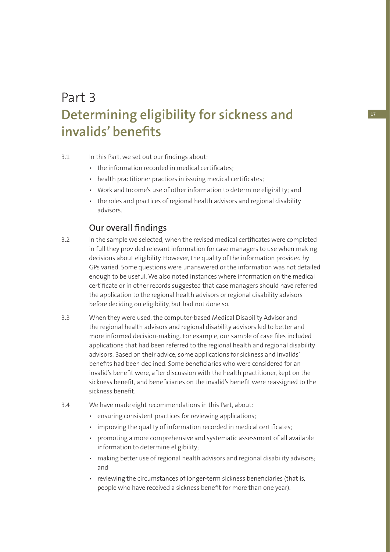# Part 3 **Determining eligibility for sickness and**  invalids' benefits

#### 3.1 In this Part, we set out our findings about:

- the information recorded in medical certificates;
- health practitioner practices in issuing medical certificates;
- Work and Income's use of other information to determine eligibility; and
- the roles and practices of regional health advisors and regional disability advisors.

## Our overall findings

- 3.2 In the sample we selected, when the revised medical certificates were completed in full they provided relevant information for case managers to use when making decisions about eligibility. However, the quality of the information provided by GPs varied. Some questions were unanswered or the information was not detailed enough to be useful. We also noted instances where information on the medical certificate or in other records suggested that case managers should have referred the application to the regional health advisors or regional disability advisors before deciding on eligibility, but had not done so.
- 3.3 When they were used, the computer-based Medical Disability Advisor and the regional health advisors and regional disability advisors led to better and more informed decision-making. For example, our sample of case files included applications that had been referred to the regional health and regional disability advisors. Based on their advice, some applications for sickness and invalids' benefits had been declined. Some beneficiaries who were considered for an invalid's benefit were, after discussion with the health practitioner, kept on the sickness benefit, and beneficiaries on the invalid's benefit were reassigned to the sickness benefit.
- 3.4 We have made eight recommendations in this Part, about:
	- ensuring consistent practices for reviewing applications;
	- improving the quality of information recorded in medical certificates;
	- promoting a more comprehensive and systematic assessment of all available information to determine eligibility;
	- making better use of regional health advisors and regional disability advisors; and
	- reviewing the circumstances of longer-term sickness beneficiaries (that is, people who have received a sickness benefit for more than one year).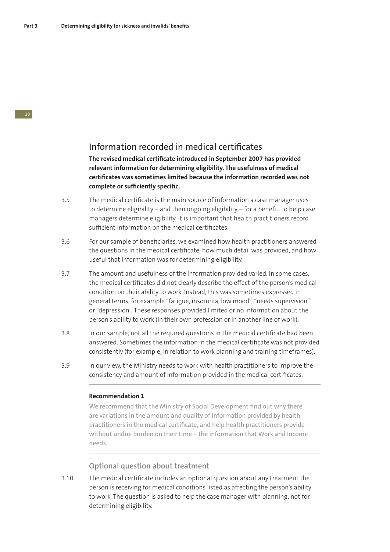## Information recorded in medical certificates

The revised medical certificate introduced in September 2007 has provided **relevant information for determining eligibility. The usefulness of medical certifi cates was sometimes limited because the information recorded was not**  complete or sufficiently specific.

- 3.5 The medical certificate is the main source of information a case manager uses to determine eligibility – and then ongoing eligibility – for a benefit. To help case managers determine eligibility, it is important that health practitioners record sufficient information on the medical certificates.
- 3.6 For our sample of beneficiaries, we examined how health practitioners answered the questions in the medical certificate, how much detail was provided, and how useful that information was for determining eligibility.
- 3.7 The amount and usefulness of the information provided varied. In some cases, the medical certificates did not clearly describe the effect of the person's medical condition on their ability to work. Instead, this was sometimes expressed in general terms, for example "fatigue, insomnia, low mood", "needs supervision", or "depression". These responses provided limited or no information about the person's ability to work (in their own profession or in another line of work).
- 3.8 In our sample, not all the required questions in the medical certificate had been answered. Sometimes the information in the medical certificate was not provided consistently (for example, in relation to work planning and training timeframes).
- 3.9 In our view, the Ministry needs to work with health practitioners to improve the consistency and amount of information provided in the medical certificates.

#### **Recommendation 1**

We recommend that the Ministry of Social Development find out why there are variations in the amount and quality of information provided by health practitioners in the medical certificate, and help health practitioners provide  $$ without undue burden on their time – the information that Work and Income needs.

#### **Optional question about treatment**

3.10 The medical certificate includes an optional question about any treatment the person is receiving for medical conditions listed as affecting the person's ability to work. The question is asked to help the case manager with planning, not for determining eligibility.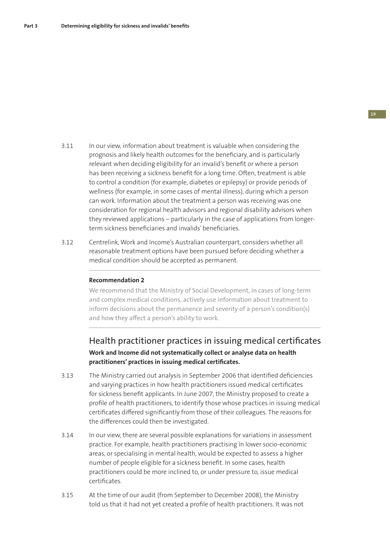- 3.11 In our view, information about treatment is valuable when considering the prognosis and likely health outcomes for the beneficiary, and is particularly relevant when deciding eligibility for an invalid's benefit or where a person has been receiving a sickness benefit for a long time. Often, treatment is able to control a condition (for example, diabetes or epilepsy) or provide periods of wellness (for example, in some cases of mental illness), during which a person can work. Information about the treatment a person was receiving was one consideration for regional health advisors and regional disability advisors when they reviewed applications – particularly in the case of applications from longerterm sickness beneficiaries and invalids' beneficiaries.
- 3.12 Centrelink, Work and Income's Australian counterpart, considers whether all reasonable treatment options have been pursued before deciding whether a medical condition should be accepted as permanent.

#### **Recommendation 2**

We recommend that the Ministry of Social Development, in cases of long-term and complex medical conditions, actively use information about treatment to inform decisions about the permanence and severity of a person's condition(s) and how they affect a person's ability to work.

Health practitioner practices in issuing medical certificates **Work and Income did not systematically collect or analyse data on health**  practitioners' practices in issuing medical certificates.

- 3.13 The Ministry carried out analysis in September 2006 that identified deficiencies and varying practices in how health practitioners issued medical certificates for sickness benefit applicants. In June 2007, the Ministry proposed to create a profile of health practitioners, to identify those whose practices in issuing medical certificates differed significantly from those of their colleagues. The reasons for the differences could then be investigated.
- 3.14 In our view, there are several possible explanations for variations in assessment practice. For example, health practitioners practising in lower socio-economic areas, or specialising in mental health, would be expected to assess a higher number of people eligible for a sickness benefit. In some cases, health practitioners could be more inclined to, or under pressure to, issue medical certificates.
- 3.15 At the time of our audit (from September to December 2008), the Ministry told us that it had not yet created a profile of health practitioners. It was not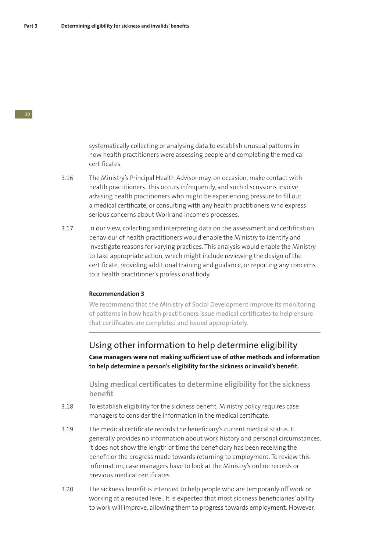systematically collecting or analysing data to establish unusual patterns in how health practitioners were assessing people and completing the medical certificates.

- 3.16 The Ministry's Principal Health Advisor may, on occasion, make contact with health practitioners. This occurs infrequently, and such discussions involve advising health practitioners who might be experiencing pressure to fill out a medical certificate, or consulting with any health practitioners who express serious concerns about Work and Income's processes.
- 3.17 In our view, collecting and interpreting data on the assessment and certification behaviour of health practitioners would enable the Ministry to identify and investigate reasons for varying practices. This analysis would enable the Ministry to take appropriate action, which might include reviewing the design of the certificate, providing additional training and guidance, or reporting any concerns to a health practitioner's professional body.

#### **Recommendation 3**

We recommend that the Ministry of Social Development improve its monitoring of patterns in how health practitioners issue medical certificates to help ensure that certificates are completed and issued appropriately.

Using other information to help determine eligibility **Case managers were not making sufficient use of other methods and information** to help determine a person's eligibility for the sickness or invalid's benefit.

Using medical certificates to determine eligibility for the sickness **benefit** 

- 3.18 To establish eligibility for the sickness benefit, Ministry policy requires case managers to consider the information in the medical certificate.
- 3.19 The medical certificate records the beneficiary's current medical status. It generally provides no information about work history and personal circumstances. It does not show the length of time the beneficiary has been receiving the benefit or the progress made towards returning to employment. To review this information, case managers have to look at the Ministry's online records or previous medical certificates.
- 3.20 The sickness benefit is intended to help people who are temporarily off work or working at a reduced level. It is expected that most sickness beneficiaries' ability to work will improve, allowing them to progress towards employment. However,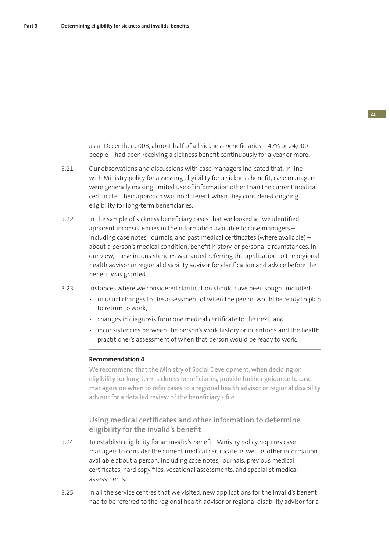as at December 2008, almost half of all sickness beneficiaries - 47% or 24,000 people – had been receiving a sickness benefit continuously for a year or more.

- 3.21 Our observations and discussions with case managers indicated that, in line with Ministry policy for assessing eligibility for a sickness benefit, case managers were generally making limited use of information other than the current medical certificate. Their approach was no different when they considered ongoing eligibility for long-term beneficiaries.
- 3.22 In the sample of sickness beneficiary cases that we looked at, we identified apparent inconsistencies in the information available to case managers – including case notes, journals, and past medical certificates (where available)  $$ about a person's medical condition, benefit history, or personal circumstances. In our view, these inconsistencies warranted referring the application to the regional health advisor or regional disability advisor for clarification and advice before the benefit was granted.
- 3.23 Instances where we considered clarification should have been sought included:
	- unusual changes to the assessment of when the person would be ready to plan to return to work;
	- changes in diagnosis from one medical certificate to the next; and
	- inconsistencies between the person's work history or intentions and the health practitioner's assessment of when that person would be ready to work.

#### **Recommendation 4**

We recommend that the Ministry of Social Development, when deciding on eligibility for long-term sickness beneficiaries, provide further guidance to case managers on when to refer cases to a regional health advisor or regional disability advisor for a detailed review of the beneficiary's file.

**Using medical certificates and other information to determine eligibility for the invalid's benefit** 

- 3.24 To establish eligibility for an invalid's benefit, Ministry policy requires case managers to consider the current medical certificate as well as other information available about a person, including case notes, journals, previous medical certificates, hard copy files, vocational assessments, and specialist medical assessments.
- 3.25 In all the service centres that we visited, new applications for the invalid's benefi t had to be referred to the regional health advisor or regional disability advisor for a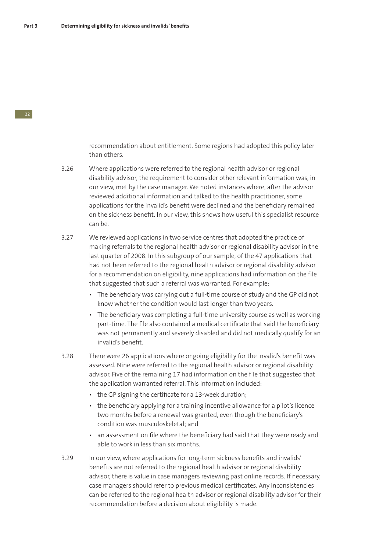recommendation about entitlement. Some regions had adopted this policy later than others.

- 3.26 Where applications were referred to the regional health advisor or regional disability advisor, the requirement to consider other relevant information was, in our view, met by the case manager. We noted instances where, after the advisor reviewed additional information and talked to the health practitioner, some applications for the invalid's benefit were declined and the beneficiary remained on the sickness benefit. In our view, this shows how useful this specialist resource can be.
- 3.27 We reviewed applications in two service centres that adopted the practice of making referrals to the regional health advisor or regional disability advisor in the last quarter of 2008. In this subgroup of our sample, of the 47 applications that had not been referred to the regional health advisor or regional disability advisor for a recommendation on eligibility, nine applications had information on the file that suggested that such a referral was warranted. For example:
	- The beneficiary was carrying out a full-time course of study and the GP did not know whether the condition would last longer than two years.
	- The beneficiary was completing a full-time university course as well as working part-time. The file also contained a medical certificate that said the beneficiary was not permanently and severely disabled and did not medically qualify for an invalid's benefit.
- 3.28 There were 26 applications where ongoing eligibility for the invalid's benefit was assessed. Nine were referred to the regional health advisor or regional disability advisor. Five of the remaining 17 had information on the file that suggested that the application warranted referral. This information included:
	- the GP signing the certificate for a 13-week duration;
	- the beneficiary applying for a training incentive allowance for a pilot's licence two months before a renewal was granted, even though the beneficiary's condition was musculoskeletal; and
	- an assessment on file where the beneficiary had said that they were ready and able to work in less than six months.
- 3.29 In our view, where applications for long-term sickness benefits and invalids' benefits are not referred to the regional health advisor or regional disability advisor, there is value in case managers reviewing past online records. If necessary, case managers should refer to previous medical certificates. Any inconsistencies can be referred to the regional health advisor or regional disability advisor for their recommendation before a decision about eligibility is made.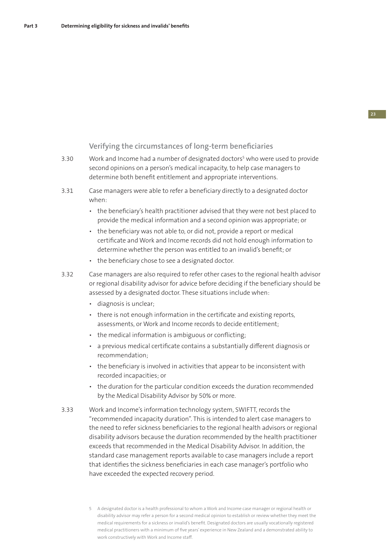#### **Verifying the circumstances of long-term beneficiaries**

- 3.30 Work and Income had a number of designated doctors<sup>5</sup> who were used to provide second opinions on a person's medical incapacity, to help case managers to determine both benefit entitlement and appropriate interventions.
- 3.31 Case managers were able to refer a beneficiary directly to a designated doctor when:
	- the beneficiary's health practitioner advised that they were not best placed to provide the medical information and a second opinion was appropriate; or
	- the beneficiary was not able to, or did not, provide a report or medical certificate and Work and Income records did not hold enough information to determine whether the person was entitled to an invalid's benefit; or
	- the beneficiary chose to see a designated doctor.
- 3.32 Case managers are also required to refer other cases to the regional health advisor or regional disability advisor for advice before deciding if the beneficiary should be assessed by a designated doctor. These situations include when:
	- diagnosis is unclear;
	- there is not enough information in the certificate and existing reports, assessments, or Work and Income records to decide entitlement;
	- the medical information is ambiguous or conflicting:
	- a previous medical certificate contains a substantially different diagnosis or recommendation;
	- the beneficiary is involved in activities that appear to be inconsistent with recorded incapacities; or
	- the duration for the particular condition exceeds the duration recommended by the Medical Disability Advisor by 50% or more.
- 3.33 Work and Income's information technology system, SWIFTT, records the "recommended incapacity duration". This is intended to alert case managers to the need to refer sickness beneficiaries to the regional health advisors or regional disability advisors because the duration recommended by the health practitioner exceeds that recommended in the Medical Disability Advisor. In addition, the standard case management reports available to case managers include a report that identifies the sickness beneficiaries in each case manager's portfolio who have exceeded the expected recovery period.
	- 5 A designated doctor is a health professional to whom a Work and Income case manager or regional health or disability advisor may refer a person for a second medical opinion to establish or review whether they meet the medical requirements for a sickness or invalid's benefit. Designated doctors are usually vocationally registered medical practitioners with a minimum of five years' experience in New Zealand and a demonstrated ability to work constructively with Work and Income staff.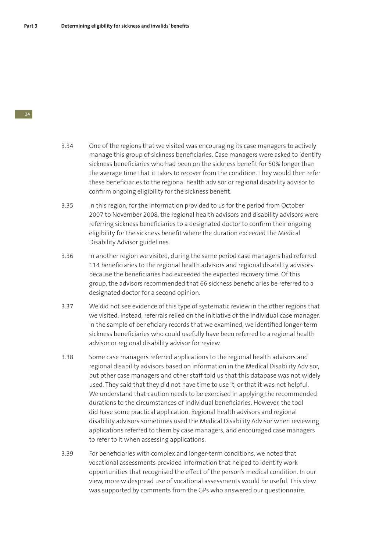3.34 One of the regions that we visited was encouraging its case managers to actively manage this group of sickness beneficiaries. Case managers were asked to identify sickness beneficiaries who had been on the sickness benefit for 50% longer than the average time that it takes to recover from the condition. They would then refer these beneficiaries to the regional health advisor or regional disability advisor to confirm ongoing eligibility for the sickness benefit.

- 3.35 In this region, for the information provided to us for the period from October 2007 to November 2008, the regional health advisors and disability advisors were referring sickness beneficiaries to a designated doctor to confirm their ongoing eligibility for the sickness benefit where the duration exceeded the Medical Disability Advisor guidelines.
- 3.36 In another region we visited, during the same period case managers had referred 114 beneficiaries to the regional health advisors and regional disability advisors because the beneficiaries had exceeded the expected recovery time. Of this group, the advisors recommended that 66 sickness beneficiaries be referred to a designated doctor for a second opinion.
- 3.37 We did not see evidence of this type of systematic review in the other regions that we visited. Instead, referrals relied on the initiative of the individual case manager. In the sample of beneficiary records that we examined, we identified longer-term sickness beneficiaries who could usefully have been referred to a regional health advisor or regional disability advisor for review.
- 3.38 Some case managers referred applications to the regional health advisors and regional disability advisors based on information in the Medical Disability Advisor, but other case managers and other staff told us that this database was not widely used. They said that they did not have time to use it, or that it was not helpful. We understand that caution needs to be exercised in applying the recommended durations to the circumstances of individual beneficiaries. However, the tool did have some practical application. Regional health advisors and regional disability advisors sometimes used the Medical Disability Advisor when reviewing applications referred to them by case managers, and encouraged case managers to refer to it when assessing applications.
- 3.39 For beneficiaries with complex and longer-term conditions, we noted that vocational assessments provided information that helped to identify work opportunities that recognised the effect of the person's medical condition. In our view, more widespread use of vocational assessments would be useful. This view was supported by comments from the GPs who answered our questionnaire.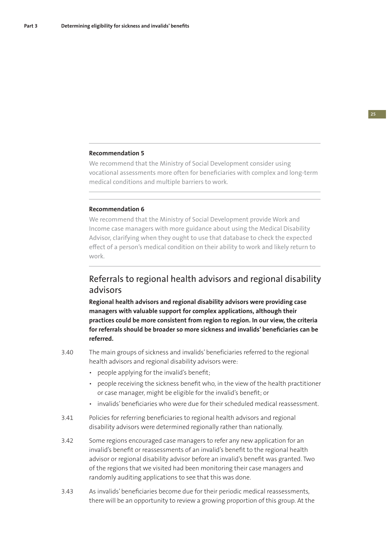#### **Recommendation 5**

We recommend that the Ministry of Social Development consider using vocational assessments more often for beneficiaries with complex and long-term medical conditions and multiple barriers to work.

#### **Recommendation 6**

We recommend that the Ministry of Social Development provide Work and Income case managers with more guidance about using the Medical Disability Advisor, clarifying when they ought to use that database to check the expected effect of a person's medical condition on their ability to work and likely return to work.

## Referrals to regional health advisors and regional disability advisors

**Regional health advisors and regional disability advisors were providing case managers with valuable support for complex applications, although their practices could be more consistent from region to region. In our view, the criteria**  for referrals should be broader so more sickness and invalids' beneficiaries can be **referred.** 

- 3.40 The main groups of sickness and invalids' beneficiaries referred to the regional health advisors and regional disability advisors were:
	- people applying for the invalid's benefit;
	- people receiving the sickness benefit who, in the view of the health practitioner or case manager, might be eligible for the invalid's benefit; or
	- invalids' beneficiaries who were due for their scheduled medical reassessment.
- 3.41 Policies for referring beneficiaries to regional health advisors and regional disability advisors were determined regionally rather than nationally.
- 3.42 Some regions encouraged case managers to refer any new application for an invalid's benefit or reassessments of an invalid's benefit to the regional health advisor or regional disability advisor before an invalid's benefit was granted. Two of the regions that we visited had been monitoring their case managers and randomly auditing applications to see that this was done.
- 3.43 As invalids' beneficiaries become due for their periodic medical reassessments, there will be an opportunity to review a growing proportion of this group. At the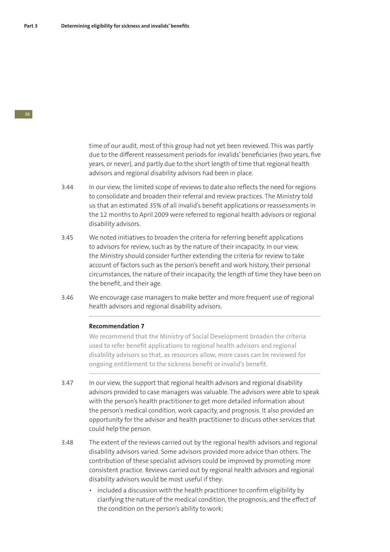time of our audit, most of this group had not yet been reviewed. This was partly due to the different reassessment periods for invalids' beneficiaries (two years, five years, or never), and partly due to the short length of time that regional health advisors and regional disability advisors had been in place.

- 3.44 In our view, the limited scope of reviews to date also reflects the need for regions to consolidate and broaden their referral and review practices. The Ministry told us that an estimated 35% of all invalid's benefit applications or reassessments in the 12 months to April 2009 were referred to regional health advisors or regional disability advisors.
- 3.45 We noted initiatives to broaden the criteria for referring benefit applications to advisors for review, such as by the nature of their incapacity. In our view, the Ministry should consider further extending the criteria for review to take account of factors such as the person's benefit and work history, their personal circumstances, the nature of their incapacity, the length of time they have been on the benefit, and their age.
- 3.46 We encourage case managers to make better and more frequent use of regional health advisors and regional disability advisors.

#### **Recommendation 7**

We recommend that the Ministry of Social Development broaden the criteria used to refer benefit applications to regional health advisors and regional disability advisors so that, as resources allow, more cases can be reviewed for ongoing entitlement to the sickness benefit or invalid's benefit.

- 3.47 In our view, the support that regional health advisors and regional disability advisors provided to case managers was valuable. The advisors were able to speak with the person's health practitioner to get more detailed information about the person's medical condition, work capacity, and prognosis. It also provided an opportunity for the advisor and health practitioner to discuss other services that could help the person.
- 3.48 The extent of the reviews carried out by the regional health advisors and regional disability advisors varied. Some advisors provided more advice than others. The contribution of these specialist advisors could be improved by promoting more consistent practice. Reviews carried out by regional health advisors and regional disability advisors would be most useful if they:
	- included a discussion with the health practitioner to confirm eligibility by clarifying the nature of the medical condition, the prognosis, and the effect of the condition on the person's ability to work;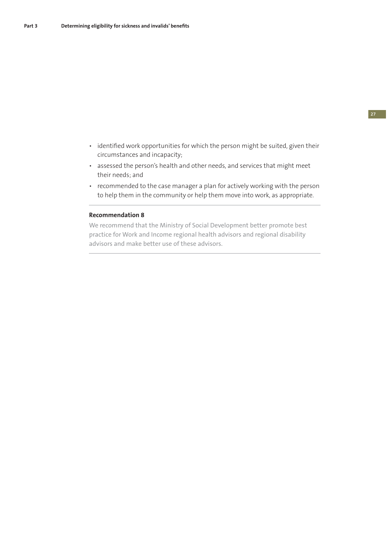- identified work opportunities for which the person might be suited, given their circumstances and incapacity;
- assessed the person's health and other needs, and services that might meet their needs; and
- recommended to the case manager a plan for actively working with the person to help them in the community or help them move into work, as appropriate.

#### **Recommendation 8**

We recommend that the Ministry of Social Development better promote best practice for Work and Income regional health advisors and regional disability advisors and make better use of these advisors.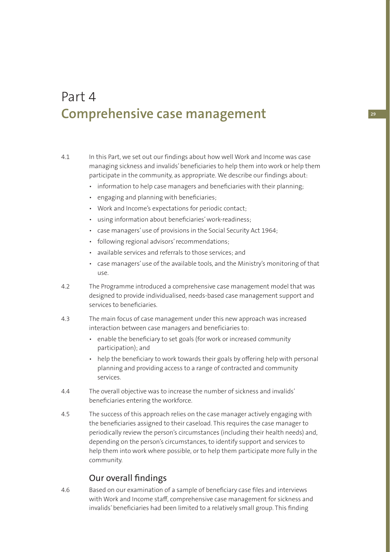## Part 4 **Comprehensive case management**

- 4.1 In this Part, we set out our findings about how well Work and Income was case managing sickness and invalids' beneficiaries to help them into work or help them participate in the community, as appropriate. We describe our findings about:
	- information to help case managers and beneficiaries with their planning;
	- engaging and planning with beneficiaries;
	- Work and Income's expectations for periodic contact;
	- using information about beneficiaries' work-readiness;
	- case managers' use of provisions in the Social Security Act 1964;
	- following regional advisors' recommendations;
	- available services and referrals to those services; and
	- case managers' use of the available tools, and the Ministry's monitoring of that use.
- 4.2 The Programme introduced a comprehensive case management model that was designed to provide individualised, needs-based case management support and services to beneficiaries.
- 4.3 The main focus of case management under this new approach was increased interaction between case managers and beneficiaries to:
	- enable the beneficiary to set goals (for work or increased community participation); and
	- help the beneficiary to work towards their goals by offering help with personal planning and providing access to a range of contracted and community services.
- 4.4 The overall objective was to increase the number of sickness and invalids' beneficiaries entering the workforce.
- 4.5 The success of this approach relies on the case manager actively engaging with the beneficiaries assigned to their caseload. This requires the case manager to periodically review the person's circumstances (including their health needs) and, depending on the person's circumstances, to identify support and services to help them into work where possible, or to help them participate more fully in the community.

## Our overall findings

4.6 Based on our examination of a sample of beneficiary case files and interviews with Work and Income staff, comprehensive case management for sickness and invalids' beneficiaries had been limited to a relatively small group. This finding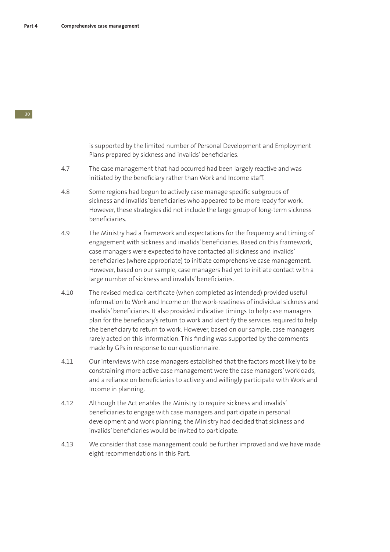is supported by the limited number of Personal Development and Employment Plans prepared by sickness and invalids' beneficiaries.

- 4.7 The case management that had occurred had been largely reactive and was initiated by the beneficiary rather than Work and Income staff.
- 4.8 Some regions had begun to actively case manage specific subgroups of sickness and invalids' beneficiaries who appeared to be more ready for work. However, these strategies did not include the large group of long-term sickness beneficiaries.
- 4.9 The Ministry had a framework and expectations for the frequency and timing of engagement with sickness and invalids' beneficiaries. Based on this framework, case managers were expected to have contacted all sickness and invalids' beneficiaries (where appropriate) to initiate comprehensive case management. However, based on our sample, case managers had yet to initiate contact with a large number of sickness and invalids' beneficiaries.
- 4.10 The revised medical certificate (when completed as intended) provided useful information to Work and Income on the work-readiness of individual sickness and invalids' beneficiaries. It also provided indicative timings to help case managers plan for the beneficiary's return to work and identify the services required to help the beneficiary to return to work. However, based on our sample, case managers rarely acted on this information. This finding was supported by the comments made by GPs in response to our questionnaire.
- 4.11 Our interviews with case managers established that the factors most likely to be constraining more active case management were the case managers' workloads, and a reliance on beneficiaries to actively and willingly participate with Work and Income in planning.
- 4.12 Although the Act enables the Ministry to require sickness and invalids' beneficiaries to engage with case managers and participate in personal development and work planning, the Ministry had decided that sickness and invalids' beneficiaries would be invited to participate.
- 4.13 We consider that case management could be further improved and we have made eight recommendations in this Part.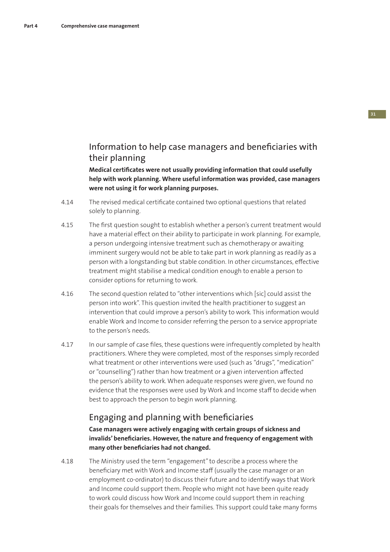## Information to help case managers and beneficiaries with their planning

**Medical certificates were not usually providing information that could usefully help with work planning. Where useful information was provided, case managers were not using it for work planning purposes.** 

- 4.14 The revised medical certificate contained two optional questions that related solely to planning.
- 4.15 The first question sought to establish whether a person's current treatment would have a material effect on their ability to participate in work planning. For example, a person undergoing intensive treatment such as chemotherapy or awaiting imminent surgery would not be able to take part in work planning as readily as a person with a longstanding but stable condition. In other circumstances, effective treatment might stabilise a medical condition enough to enable a person to consider options for returning to work.
- 4.16 The second question related to "other interventions which [sic] could assist the person into work". This question invited the health practitioner to suggest an intervention that could improve a person's ability to work. This information would enable Work and Income to consider referring the person to a service appropriate to the person's needs.
- 4.17 In our sample of case files, these questions were infrequently completed by health practitioners. Where they were completed, most of the responses simply recorded what treatment or other interventions were used (such as "drugs", "medication" or "counselling") rather than how treatment or a given intervention affected the person's ability to work. When adequate responses were given, we found no evidence that the responses were used by Work and Income staff to decide when best to approach the person to begin work planning.

## Engaging and planning with beneficiaries

### **Case managers were actively engaging with certain groups of sickness and**  invalids' beneficiaries. However, the nature and frequency of engagement with many other beneficiaries had not changed.

4.18 The Ministry used the term "engagement" to describe a process where the beneficiary met with Work and Income staff (usually the case manager or an employment co-ordinator) to discuss their future and to identify ways that Work and Income could support them. People who might not have been quite ready to work could discuss how Work and Income could support them in reaching their goals for themselves and their families. This support could take many forms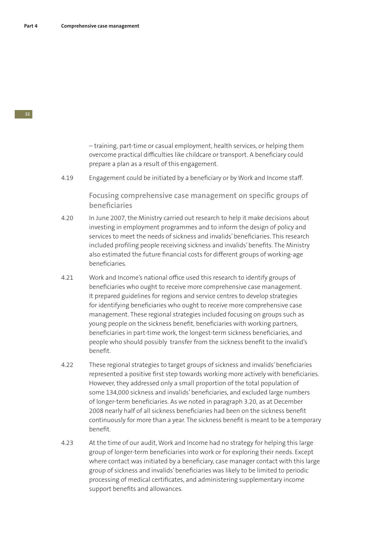– training, part-time or casual employment, health services, or helping them overcome practical difficulties like childcare or transport. A beneficiary could prepare a plan as a result of this engagement.

4.19 Engagement could be initiated by a beneficiary or by Work and Income staff.

Focusing comprehensive case management on specific groups of **benefi ciaries** 

- 4.20 In June 2007, the Ministry carried out research to help it make decisions about investing in employment programmes and to inform the design of policy and services to meet the needs of sickness and invalids' beneficiaries. This research included profiling people receiving sickness and invalids' benefits. The Ministry also estimated the future financial costs for different groups of working-age **beneficiaries**
- 4.21 Work and Income's national office used this research to identify groups of beneficiaries who ought to receive more comprehensive case management. It prepared guidelines for regions and service centres to develop strategies for identifying beneficiaries who ought to receive more comprehensive case management. These regional strategies included focusing on groups such as young people on the sickness benefit, beneficiaries with working partners, beneficiaries in part-time work, the longest-term sickness beneficiaries, and people who should possibly transfer from the sickness benefit to the invalid's benefit.
- 4.22 These regional strategies to target groups of sickness and invalids' beneficiaries represented a positive first step towards working more actively with beneficiaries. However, they addressed only a small proportion of the total population of some 134,000 sickness and invalids' beneficiaries, and excluded large numbers of longer-term beneficiaries. As we noted in paragraph 3.20, as at December 2008 nearly half of all sickness beneficiaries had been on the sickness benefit continuously for more than a year. The sickness benefit is meant to be a temporary benefit.
- 4.23 At the time of our audit, Work and Income had no strategy for helping this large group of longer-term beneficiaries into work or for exploring their needs. Except where contact was initiated by a beneficiary, case manager contact with this large group of sickness and invalids' beneficiaries was likely to be limited to periodic processing of medical certificates, and administering supplementary income support benefits and allowances.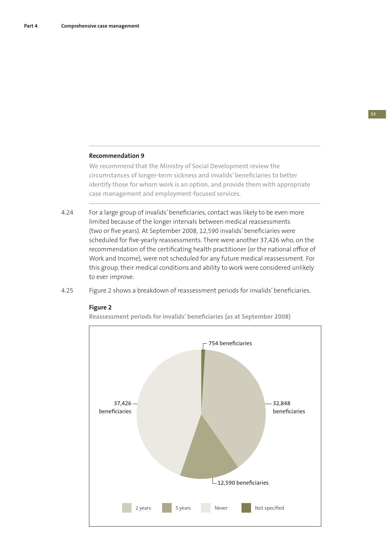#### **Recommendation 9**

We recommend that the Ministry of Social Development review the circumstances of longer-term sickness and invalids' beneficiaries to better identify those for whom work is an option, and provide them with appropriate case management and employment-focused services.

4.24 For a large group of invalids' beneficiaries, contact was likely to be even more limited because of the longer intervals between medical reassessments (two or five years). At September 2008, 12,590 invalids' beneficiaries were scheduled for five-yearly reassessments. There were another 37,426 who, on the recommendation of the certificating health practitioner (or the national office of Work and Income), were not scheduled for any future medical reassessment. For this group, their medical conditions and ability to work were considered unlikely to ever improve.

4.25 Figure 2 shows a breakdown of reassessment periods for invalids' beneficiaries.



**Figure 2** 

**Reassessment periods for invalids' beneficiaries (as at September 2008)**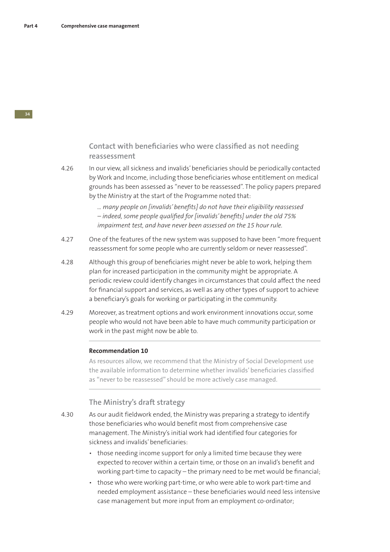**Contact with beneficiaries who were classified as not needing reassessment**

4.26 In our view, all sickness and invalids' beneficiaries should be periodically contacted by Work and Income, including those beneficiaries whose entitlement on medical grounds has been assessed as "never to be reassessed". The policy papers prepared by the Ministry at the start of the Programme noted that:

> *… many people on [invalids' benefi ts] do not have their eligibility reassessed*   $-$  indeed, some people qualified for *[invalids' benefits]* under the old 75% *impairment test, and have never been assessed on the 15 hour rule.*

- 4.27 One of the features of the new system was supposed to have been "more frequent reassessment for some people who are currently seldom or never reassessed".
- 4.28 Although this group of beneficiaries might never be able to work, helping them plan for increased participation in the community might be appropriate. A periodic review could identify changes in circumstances that could affect the need for financial support and services, as well as any other types of support to achieve a beneficiary's goals for working or participating in the community.
- 4.29 Moreover, as treatment options and work environment innovations occur, some people who would not have been able to have much community participation or work in the past might now be able to.

#### **Recommendation 10**

As resources allow, we recommend that the Ministry of Social Development use the available information to determine whether invalids' beneficiaries classified as "never to be reassessed" should be more actively case managed.

#### **The Ministry's draft strategy**

- 4.30 As our audit fieldwork ended, the Ministry was preparing a strategy to identify those beneficiaries who would benefit most from comprehensive case management. The Ministry's initial work had identified four categories for sickness and invalids' beneficiaries:
	- those needing income support for only a limited time because they were expected to recover within a certain time, or those on an invalid's benefit and working part-time to capacity – the primary need to be met would be financial;
	- those who were working part-time, or who were able to work part-time and needed employment assistance – these beneficiaries would need less intensive case management but more input from an employment co-ordinator;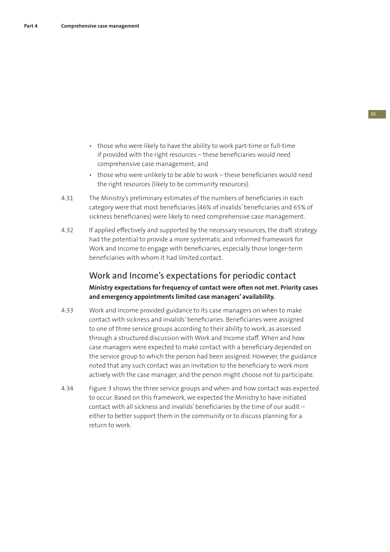- those who were likely to have the ability to work part-time or full-time if provided with the right resources - these beneficiaries would need comprehensive case management; and
- those who were unlikely to be able to work these beneficiaries would need the right resources (likely to be community resources).
- 4.31 The Ministry's preliminary estimates of the numbers of beneficiaries in each category were that most beneficiaries (46% of invalids' beneficiaries and 65% of sickness beneficiaries) were likely to need comprehensive case management.
- 4.32 If applied effectively and supported by the necessary resources, the draft strategy had the potential to provide a more systematic and informed framework for Work and Income to engage with beneficiaries, especially those longer-term beneficiaries with whom it had limited contact.

## Work and Income's expectations for periodic contact **Ministry expectations for frequency of contact were often not met. Priority cases and emergency appointments limited case managers' availability.**

- 4.33 Work and Income provided guidance to its case managers on when to make contact with sickness and invalids' beneficiaries. Beneficiaries were assigned to one of three service groups according to their ability to work, as assessed through a structured discussion with Work and Income staff. When and how case managers were expected to make contact with a beneficiary depended on the service group to which the person had been assigned. However, the guidance noted that any such contact was an invitation to the beneficiary to work more actively with the case manager, and the person might choose not to participate.
- 4.34 Figure 3 shows the three service groups and when and how contact was expected to occur. Based on this framework, we expected the Ministry to have initiated contact with all sickness and invalids' beneficiaries by the time of our audit  $$ either to better support them in the community or to discuss planning for a return to work.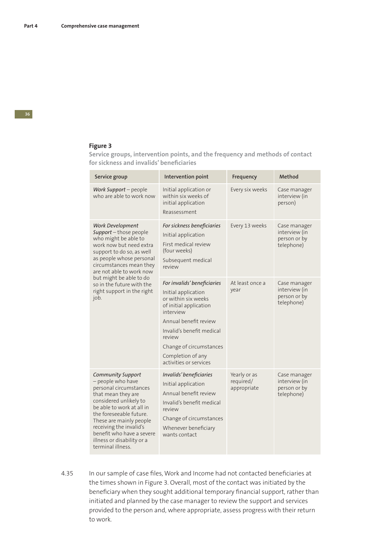#### **Figure 3**

**Service groups, intervention points, and the frequency and methods of contact**  for sickness and invalids' beneficiaries

| Service group                                                                                                                                                                                                                                                                                                         | Intervention point                                                                                                                                                                                                                                         | Frequency                                | Method                                                      |
|-----------------------------------------------------------------------------------------------------------------------------------------------------------------------------------------------------------------------------------------------------------------------------------------------------------------------|------------------------------------------------------------------------------------------------------------------------------------------------------------------------------------------------------------------------------------------------------------|------------------------------------------|-------------------------------------------------------------|
| Work Support - people<br>who are able to work now                                                                                                                                                                                                                                                                     | Initial application or<br>within six weeks of<br>initial application<br>Reassessment                                                                                                                                                                       | Every six weeks                          | Case manager<br>interview (in<br>person)                    |
| <b>Work Development</b><br>Support-those people<br>who might be able to<br>work now but need extra<br>support to do so, as well<br>as people whose personal<br>circumstances mean they<br>are not able to work now<br>but might be able to do<br>so in the future with the<br>right support in the right<br>job.      | For sickness beneficiaries<br>Initial application<br>First medical review<br>(four weeks)<br>Subsequent medical<br>review                                                                                                                                  | Every 13 weeks                           | Case manager<br>interview (in<br>person or by<br>telephone) |
|                                                                                                                                                                                                                                                                                                                       | For invalids' beneficiaries<br>Initial application<br>or within six weeks<br>of initial application<br>interview<br>Annual benefit review<br>Invalid's benefit medical<br>review<br>Change of circumstances<br>Completion of any<br>activities or services | At least once a<br>year                  | Case manager<br>interview (in<br>person or by<br>telephone) |
| <b>Community Support</b><br>- people who have<br>personal circumstances<br>that mean they are<br>considered unlikely to<br>be able to work at all in<br>the foreseeable future.<br>These are mainly people<br>receiving the invalid's<br>benefit who have a severe<br>illness or disability or a<br>terminal illness. | Invalids' beneficiaries<br>Initial application<br>Annual benefit review<br>Invalid's benefit medical<br>review<br>Change of circumstances<br>Whenever beneficiary<br>wants contact                                                                         | Yearly or as<br>required/<br>appropriate | Case manager<br>interview (in<br>person or by<br>telephone) |

4.35 In our sample of case files, Work and Income had not contacted beneficiaries at the times shown in Figure 3. Overall, most of the contact was initiated by the beneficiary when they sought additional temporary financial support, rather than initiated and planned by the case manager to review the support and services provided to the person and, where appropriate, assess progress with their return to work.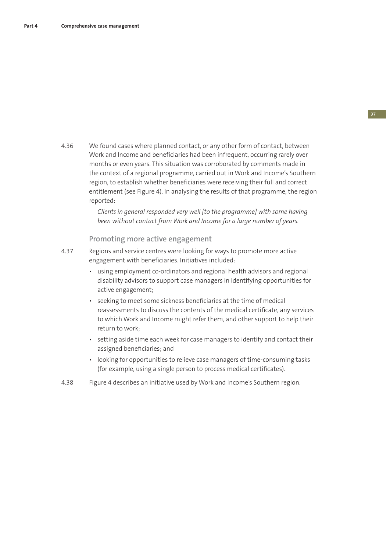4.36 We found cases where planned contact, or any other form of contact, between Work and Income and beneficiaries had been infrequent, occurring rarely over months or even years. This situation was corroborated by comments made in the context of a regional programme, carried out in Work and Income's Southern region, to establish whether beneficiaries were receiving their full and correct entitlement (see Figure 4). In analysing the results of that programme, the region reported:

> *Clients in general responded very well [to the programme] with some having been without contact from Work and Income for a large number of years.*

**Promoting more active engagement**

- 4.37 Regions and service centres were looking for ways to promote more active engagement with beneficiaries. Initiatives included:
	- using employment co-ordinators and regional health advisors and regional disability advisors to support case managers in identifying opportunities for active engagement;
	- seeking to meet some sickness beneficiaries at the time of medical reassessments to discuss the contents of the medical certificate, any services to which Work and Income might refer them, and other support to help their return to work;
	- setting aside time each week for case managers to identify and contact their assigned beneficiaries; and
	- looking for opportunities to relieve case managers of time-consuming tasks (for example, using a single person to process medical certificates).
- 4.38 Figure 4 describes an initiative used by Work and Income's Southern region.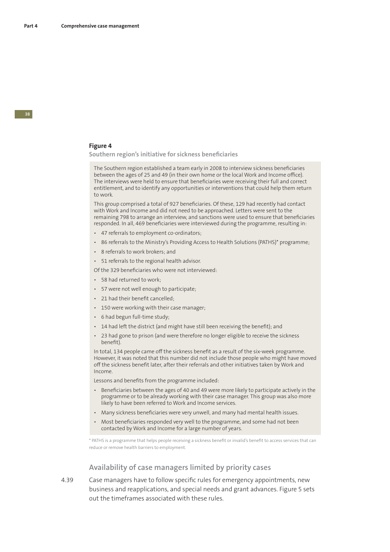#### **Figure 4**

**Southern region's initiative for sickness beneficiaries** 

The Southern region established a team early in 2008 to interview sickness beneficiaries between the ages of 25 and 49 (in their own home or the local Work and Income office). The interviews were held to ensure that beneficiaries were receiving their full and correct entitlement, and to identify any opportunities or interventions that could help them return to work.

This group comprised a total of 927 beneficiaries. Of these, 129 had recently had contact with Work and Income and did not need to be approached. Letters were sent to the remaining 798 to arrange an interview, and sanctions were used to ensure that beneficiaries responded. In all, 469 beneficiaries were interviewed during the programme, resulting in:

- 47 referrals to employment co-ordinators;
- 86 referrals to the Ministry's Providing Access to Health Solutions (PATHS)\* programme;
- 8 referrals to work brokers; and
- 51 referrals to the regional health advisor.

Of the 329 beneficiaries who were not interviewed:

- 58 had returned to work;
- 57 were not well enough to participate;
- 21 had their benefit cancelled;
- 150 were working with their case manager;
- 6 had begun full-time study;
- 14 had left the district (and might have still been receiving the benefit); and
- 23 had gone to prison (and were therefore no longer eligible to receive the sickness benefit).

In total, 134 people came off the sickness benefit as a result of the six-week programme. However, it was noted that this number did not include those people who might have moved off the sickness benefit later, after their referrals and other initiatives taken by Work and Income.

Lessons and benefits from the programme included:

- Beneficiaries between the ages of 40 and 49 were more likely to participate actively in the programme or to be already working with their case manager. This group was also more likely to have been referred to Work and Income services.
- Many sickness beneficiaries were very unwell, and many had mental health issues.
- Most beneficiaries responded very well to the programme, and some had not been contacted by Work and Income for a large number of years.

\* PATHS is a programme that helps people receiving a sickness benefi t or invalid's benefi t to access services that can reduce or remove health barriers to employment.

#### **Availability of case managers limited by priority cases**

4.39 Case managers have to follow specific rules for emergency appointments, new business and reapplications, and special needs and grant advances. Figure 5 sets out the timeframes associated with these rules.

**38**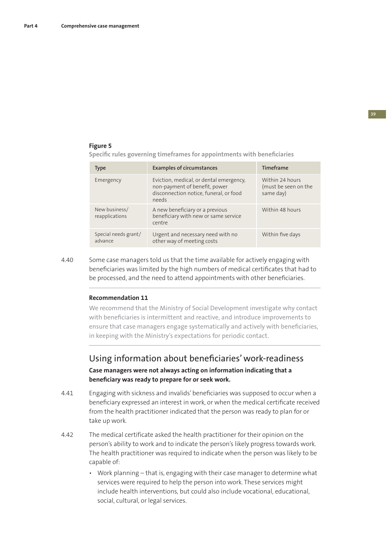#### **39**

#### **Figure 5**

**Specific rules governing timeframes for appointments with beneficiaries** 

| <b>Type</b>                     | <b>Examples of circumstances</b>                                                                                            | <b>Timeframe</b>                                     |
|---------------------------------|-----------------------------------------------------------------------------------------------------------------------------|------------------------------------------------------|
| Emergency                       | Eviction, medical, or dental emergency,<br>non-payment of benefit, power<br>disconnection notice, funeral, or food<br>needs | Within 24 hours<br>(must be seen on the<br>same day) |
| New business/<br>reapplications | A new beneficiary or a previous<br>beneficiary with new or same service<br>centre                                           | Within 48 hours                                      |
| Special needs grant/<br>advance | Urgent and necessary need with no<br>other way of meeting costs                                                             | Within five days                                     |

4.40 Some case managers told us that the time available for actively engaging with beneficiaries was limited by the high numbers of medical certificates that had to be processed, and the need to attend appointments with other beneficiaries.

#### **Recommendation 11**

We recommend that the Ministry of Social Development investigate why contact with beneficiaries is intermittent and reactive, and introduce improvements to ensure that case managers engage systematically and actively with beneficiaries, in keeping with the Ministry's expectations for periodic contact.

## Using information about beneficiaries' work-readiness

**Case managers were not always acting on information indicating that a**  beneficiary was ready to prepare for or seek work.

- 4.41 Engaging with sickness and invalids' beneficiaries was supposed to occur when a beneficiary expressed an interest in work, or when the medical certificate received from the health practitioner indicated that the person was ready to plan for or take up work.
- 4.42 The medical certificate asked the health practitioner for their opinion on the person's ability to work and to indicate the person's likely progress towards work. The health practitioner was required to indicate when the person was likely to be capable of:
	- Work planning that is, engaging with their case manager to determine what services were required to help the person into work. These services might include health interventions, but could also include vocational, educational, social, cultural, or legal services.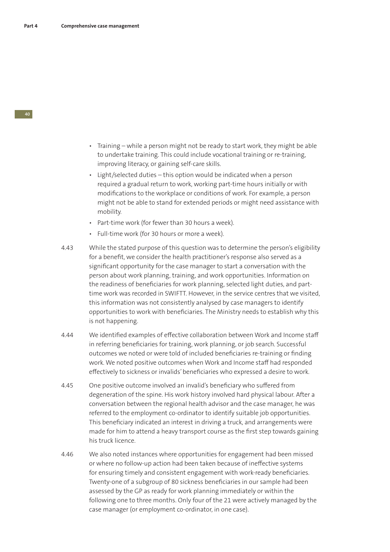- Training while a person might not be ready to start work, they might be able to undertake training. This could include vocational training or re-training, improving literacy, or gaining self-care skills.
- Light/selected duties this option would be indicated when a person required a gradual return to work, working part-time hours initially or with modifications to the workplace or conditions of work. For example, a person might not be able to stand for extended periods or might need assistance with mobility.
- Part-time work (for fewer than 30 hours a week).
- Full-time work (for 30 hours or more a week).
- 4.43 While the stated purpose of this question was to determine the person's eligibility for a benefit, we consider the health practitioner's response also served as a significant opportunity for the case manager to start a conversation with the person about work planning, training, and work opportunities. Information on the readiness of beneficiaries for work planning, selected light duties, and parttime work was recorded in SWIFTT. However, in the service centres that we visited, this information was not consistently analysed by case managers to identify opportunities to work with beneficiaries. The Ministry needs to establish why this is not happening.
- 4.44 We identified examples of effective collaboration between Work and Income staff in referring beneficiaries for training, work planning, or job search. Successful outcomes we noted or were told of included beneficiaries re-training or finding work. We noted positive outcomes when Work and Income staff had responded effectively to sickness or invalids' beneficiaries who expressed a desire to work.
- 4.45 One positive outcome involved an invalid's beneficiary who suffered from degeneration of the spine. His work history involved hard physical labour. After a conversation between the regional health advisor and the case manager, he was referred to the employment co-ordinator to identify suitable job opportunities. This beneficiary indicated an interest in driving a truck, and arrangements were made for him to attend a heavy transport course as the first step towards gaining his truck licence.
- 4.46 We also noted instances where opportunities for engagement had been missed or where no follow-up action had been taken because of ineffective systems for ensuring timely and consistent engagement with work-ready beneficiaries. Twenty-one of a subgroup of 80 sickness beneficiaries in our sample had been assessed by the GP as ready for work planning immediately or within the following one to three months. Only four of the 21 were actively managed by the case manager (or employment co-ordinator, in one case).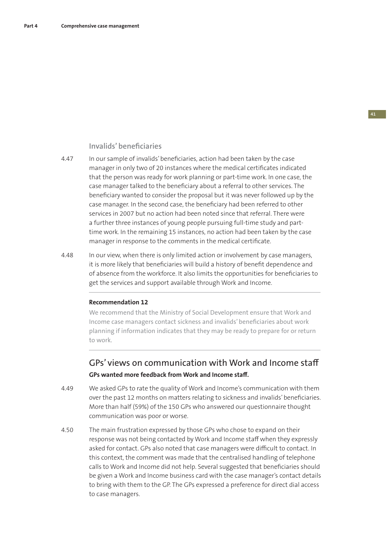#### **Invalids' beneficiaries**

- 4.47 In our sample of invalids' beneficiaries, action had been taken by the case manager in only two of 20 instances where the medical certificates indicated that the person was ready for work planning or part-time work. In one case, the case manager talked to the beneficiary about a referral to other services. The beneficiary wanted to consider the proposal but it was never followed up by the case manager. In the second case, the beneficiary had been referred to other services in 2007 but no action had been noted since that referral. There were a further three instances of young people pursuing full-time study and parttime work. In the remaining 15 instances, no action had been taken by the case manager in response to the comments in the medical certificate.
- 4.48 In our view, when there is only limited action or involvement by case managers, it is more likely that beneficiaries will build a history of benefit dependence and of absence from the workforce. It also limits the opportunities for beneficiaries to get the services and support available through Work and Income.

#### **Recommendation 12**

We recommend that the Ministry of Social Development ensure that Work and Income case managers contact sickness and invalids' beneficiaries about work planning if information indicates that they may be ready to prepare for or return to work.

## GPs' views on communication with Work and Income staff **GPs wanted more feedback from Work and Income staff .**

- 4.49 We asked GPs to rate the quality of Work and Income's communication with them over the past 12 months on matters relating to sickness and invalids' beneficiaries. More than half (59%) of the 150 GPs who answered our questionnaire thought communication was poor or worse.
- 4.50 The main frustration expressed by those GPs who chose to expand on their response was not being contacted by Work and Income staff when they expressly asked for contact. GPs also noted that case managers were difficult to contact. In this context, the comment was made that the centralised handling of telephone calls to Work and Income did not help. Several suggested that beneficiaries should be given a Work and Income business card with the case manager's contact details to bring with them to the GP. The GPs expressed a preference for direct dial access to case managers.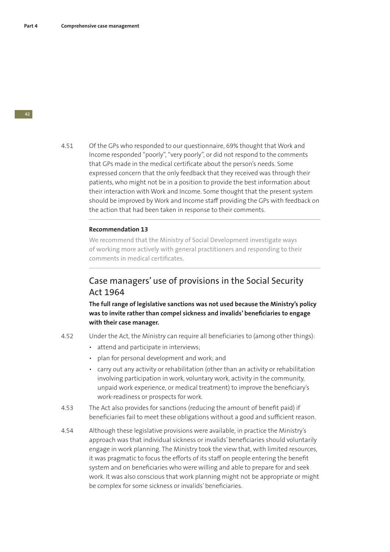4.51 Of the GPs who responded to our questionnaire, 69% thought that Work and Income responded "poorly", "very poorly", or did not respond to the comments that GPs made in the medical certificate about the person's needs. Some expressed concern that the only feedback that they received was through their patients, who might not be in a position to provide the best information about their interaction with Work and Income. Some thought that the present system should be improved by Work and Income staff providing the GPs with feedback on the action that had been taken in response to their comments.

#### **Recommendation 13**

We recommend that the Ministry of Social Development investigate ways of working more actively with general practitioners and responding to their comments in medical certificates.

## Case managers' use of provisions in the Social Security Act 1964

**The full range of legislative sanctions was not used because the Ministry's policy**  was to invite rather than compel sickness and invalids' beneficiaries to engage **with their case manager.**

- 4.52 Under the Act, the Ministry can require all beneficiaries to (among other things):
	- attend and participate in interviews;
	- plan for personal development and work; and
	- carry out any activity or rehabilitation (other than an activity or rehabilitation involving participation in work, voluntary work, activity in the community, unpaid work experience, or medical treatment) to improve the beneficiary's work-readiness or prospects for work.
- 4.53 The Act also provides for sanctions (reducing the amount of benefit paid) if beneficiaries fail to meet these obligations without a good and sufficient reason.
- 4.54 Although these legislative provisions were available, in practice the Ministry's approach was that individual sickness or invalids' beneficiaries should voluntarily engage in work planning. The Ministry took the view that, with limited resources, it was pragmatic to focus the efforts of its staff on people entering the benefit system and on beneficiaries who were willing and able to prepare for and seek work. It was also conscious that work planning might not be appropriate or might be complex for some sickness or invalids' beneficiaries.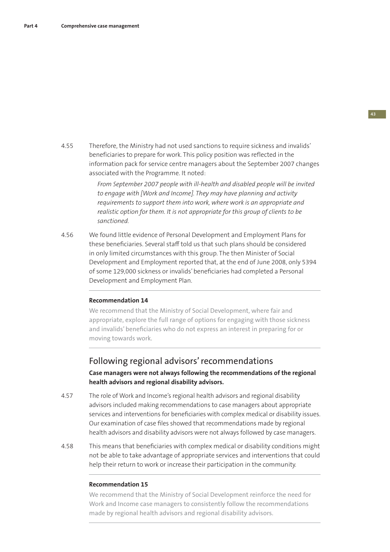4.55 Therefore, the Ministry had not used sanctions to require sickness and invalids' beneficiaries to prepare for work. This policy position was reflected in the information pack for service centre managers about the September 2007 changes associated with the Programme. It noted:

> *From September 2007 people with ill-health and disabled people will be invited to engage with [Work and Income]. They may have planning and activity requirements to support them into work, where work is an appropriate and realistic option for them. It is not appropriate for this group of clients to be sanctioned.*

4.56 We found little evidence of Personal Development and Employment Plans for these beneficiaries. Several staff told us that such plans should be considered in only limited circumstances with this group. The then Minister of Social Development and Employment reported that, at the end of June 2008, only 5394 of some 129,000 sickness or invalids' beneficiaries had completed a Personal Development and Employment Plan.

#### **Recommendation 14**

We recommend that the Ministry of Social Development, where fair and appropriate, explore the full range of options for engaging with those sickness and invalids' beneficiaries who do not express an interest in preparing for or moving towards work.

## Following regional advisors' recommendations

**Case managers were not always following the recommendations of the regional health advisors and regional disability advisors.** 

- 4.57 The role of Work and Income's regional health advisors and regional disability advisors included making recommendations to case managers about appropriate services and interventions for beneficiaries with complex medical or disability issues. Our examination of case files showed that recommendations made by regional health advisors and disability advisors were not always followed by case managers.
- 4.58 This means that beneficiaries with complex medical or disability conditions might not be able to take advantage of appropriate services and interventions that could help their return to work or increase their participation in the community.

#### **Recommendation 15**

We recommend that the Ministry of Social Development reinforce the need for Work and Income case managers to consistently follow the recommendations made by regional health advisors and regional disability advisors.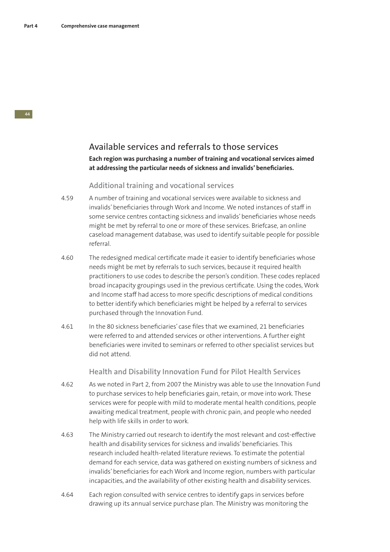## Available services and referrals to those services

#### **Each region was purchasing a number of training and vocational services aimed**  at addressing the particular needs of sickness and invalids' beneficiaries.

#### **Additional training and vocational services**

- 4.59 A number of training and vocational services were available to sickness and invalids' beneficiaries through Work and Income. We noted instances of staff in some service centres contacting sickness and invalids' beneficiaries whose needs might be met by referral to one or more of these services. Briefcase, an online caseload management database, was used to identify suitable people for possible referral.
- 4.60 The redesigned medical certificate made it easier to identify beneficiaries whose needs might be met by referrals to such services, because it required health practitioners to use codes to describe the person's condition. These codes replaced broad incapacity groupings used in the previous certificate. Using the codes, Work and Income staff had access to more specific descriptions of medical conditions to better identify which beneficiaries might be helped by a referral to services purchased through the Innovation Fund.
- 4.61 In the 80 sickness beneficiaries' case files that we examined, 21 beneficiaries were referred to and attended services or other interventions. A further eight beneficiaries were invited to seminars or referred to other specialist services but did not attend.

**Health and Disability Innovation Fund for Pilot Health Services**

- 4.62 As we noted in Part 2, from 2007 the Ministry was able to use the Innovation Fund to purchase services to help beneficiaries gain, retain, or move into work. These services were for people with mild to moderate mental health conditions, people awaiting medical treatment, people with chronic pain, and people who needed help with life skills in order to work.
- 4.63 The Ministry carried out research to identify the most relevant and cost-effective health and disability services for sickness and invalids' beneficiaries. This research included health-related literature reviews. To estimate the potential demand for each service, data was gathered on existing numbers of sickness and invalids' beneficiaries for each Work and Income region, numbers with particular incapacities, and the availability of other existing health and disability services.
- 4.64 Each region consulted with service centres to identify gaps in services before drawing up its annual service purchase plan. The Ministry was monitoring the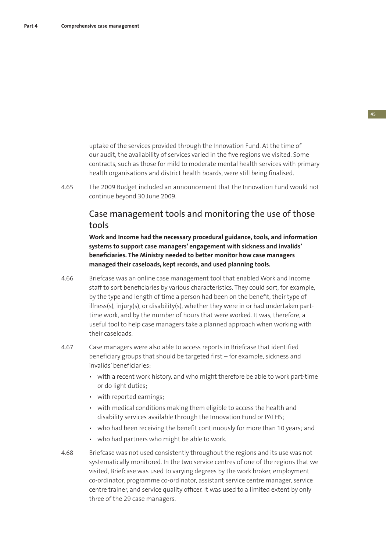uptake of the services provided through the Innovation Fund. At the time of our audit, the availability of services varied in the five regions we visited. Some contracts, such as those for mild to moderate mental health services with primary health organisations and district health boards, were still being finalised.

4.65 The 2009 Budget included an announcement that the Innovation Fund would not continue beyond 30 June 2009.

## Case management tools and monitoring the use of those tools

**Work and Income had the necessary procedural guidance, tools, and information systems to support case managers' engagement with sickness and invalids' beneficiaries. The Ministry needed to better monitor how case managers managed their caseloads, kept records, and used planning tools.** 

- 4.66 Briefcase was an online case management tool that enabled Work and Income staff to sort beneficiaries by various characteristics. They could sort, for example, by the type and length of time a person had been on the benefit, their type of illness(s), injury(s), or disability(s), whether they were in or had undertaken parttime work, and by the number of hours that were worked. It was, therefore, a useful tool to help case managers take a planned approach when working with their caseloads.
- 4.67 Case managers were also able to access reports in Briefcase that identified beneficiary groups that should be targeted first – for example, sickness and invalids' beneficiaries:
	- with a recent work history, and who might therefore be able to work part-time or do light duties;
	- with reported earnings;
	- with medical conditions making them eligible to access the health and disability services available through the Innovation Fund or PATHS;
	- who had been receiving the benefit continuously for more than 10 years; and
	- who had partners who might be able to work.
- 4.68 Briefcase was not used consistently throughout the regions and its use was not systematically monitored. In the two service centres of one of the regions that we visited, Briefcase was used to varying degrees by the work broker, employment co-ordinator, programme co-ordinator, assistant service centre manager, service centre trainer, and service quality officer. It was used to a limited extent by only three of the 29 case managers.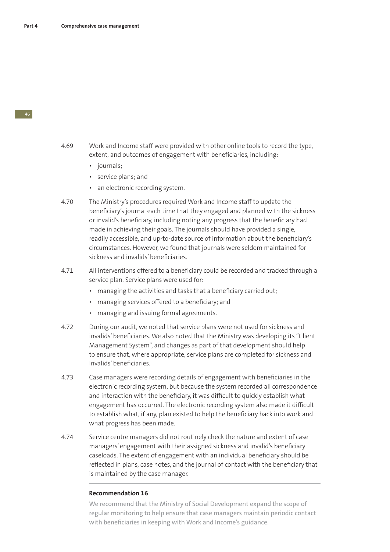- 4.69 Work and Income staff were provided with other online tools to record the type, extent, and outcomes of engagement with beneficiaries, including:
	- journals;
	- service plans; and
	- an electronic recording system.
- 4.70 The Ministry's procedures required Work and Income staff to update the beneficiary's journal each time that they engaged and planned with the sickness or invalid's beneficiary, including noting any progress that the beneficiary had made in achieving their goals. The journals should have provided a single, readily accessible, and up-to-date source of information about the beneficiary's circumstances. However, we found that journals were seldom maintained for sickness and invalids' beneficiaries.
- 4.71 All interventions offered to a beneficiary could be recorded and tracked through a service plan. Service plans were used for:
	- managing the activities and tasks that a beneficiary carried out;
	- managing services offered to a beneficiary; and
	- managing and issuing formal agreements.
- 4.72 During our audit, we noted that service plans were not used for sickness and invalids' beneficiaries. We also noted that the Ministry was developing its "Client Management System", and changes as part of that development should help to ensure that, where appropriate, service plans are completed for sickness and invalids' beneficiaries.
- 4.73 Case managers were recording details of engagement with beneficiaries in the electronic recording system, but because the system recorded all correspondence and interaction with the beneficiary, it was difficult to quickly establish what engagement has occurred. The electronic recording system also made it difficult to establish what, if any, plan existed to help the beneficiary back into work and what progress has been made.
- 4.74 Service centre managers did not routinely check the nature and extent of case managers' engagement with their assigned sickness and invalid's beneficiary caseloads. The extent of engagement with an individual beneficiary should be reflected in plans, case notes, and the journal of contact with the beneficiary that is maintained by the case manager.

#### **Recommendation 16**

We recommend that the Ministry of Social Development expand the scope of regular monitoring to help ensure that case managers maintain periodic contact with beneficiaries in keeping with Work and Income's guidance.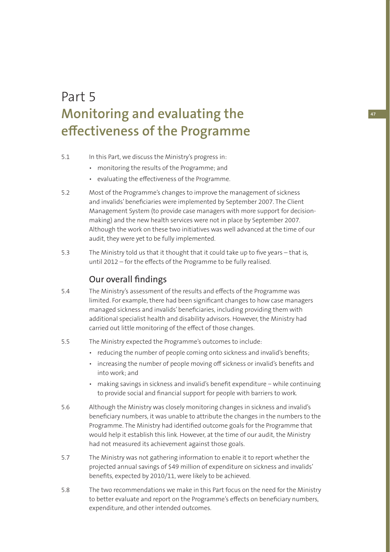# Part 5 **Monitoring and evaluating the eff ectiveness of the Programme**

#### 5.1 In this Part, we discuss the Ministry's progress in:

- monitoring the results of the Programme; and
- evaluating the effectiveness of the Programme.
- 5.2 Most of the Programme's changes to improve the management of sickness and invalids' beneficiaries were implemented by September 2007. The Client Management System (to provide case managers with more support for decisionmaking) and the new health services were not in place by September 2007. Although the work on these two initiatives was well advanced at the time of our audit, they were yet to be fully implemented.
- 5.3 The Ministry told us that it thought that it could take up to five years that is, until 2012 – for the effects of the Programme to be fully realised.

## Our overall findings

- 5.4 The Ministry's assessment of the results and effects of the Programme was limited. For example, there had been significant changes to how case managers managed sickness and invalids' beneficiaries, including providing them with additional specialist health and disability advisors. However, the Ministry had carried out little monitoring of the effect of those changes.
- 5.5 The Ministry expected the Programme's outcomes to include:
	- reducing the number of people coming onto sickness and invalid's benefits;
	- increasing the number of people moving off sickness or invalid's benefits and into work; and
	- making savings in sickness and invalid's benefit expenditure while continuing to provide social and financial support for people with barriers to work.
- 5.6 Although the Ministry was closely monitoring changes in sickness and invalid's beneficiary numbers, it was unable to attribute the changes in the numbers to the Programme. The Ministry had identified outcome goals for the Programme that would help it establish this link. However, at the time of our audit, the Ministry had not measured its achievement against those goals.
- 5.7 The Ministry was not gathering information to enable it to report whether the projected annual savings of \$49 million of expenditure on sickness and invalids' benefits, expected by 2010/11, were likely to be achieved.
- 5.8 The two recommendations we make in this Part focus on the need for the Ministry to better evaluate and report on the Programme's effects on beneficiary numbers, expenditure, and other intended outcomes.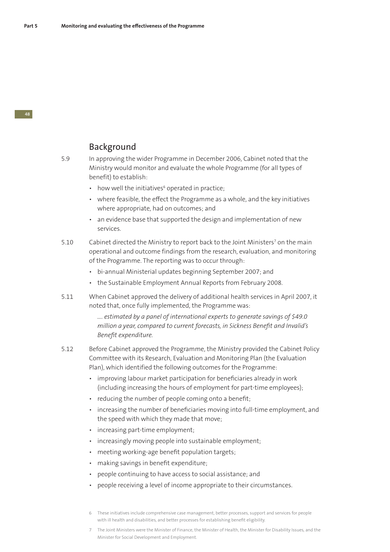## Background

5.9 In approving the wider Programme in December 2006, Cabinet noted that the Ministry would monitor and evaluate the whole Programme (for all types of benefit) to establish:

- how well the initiatives<sup>6</sup> operated in practice;
- where feasible, the effect the Programme as a whole, and the key initiatives where appropriate, had on outcomes; and
- an evidence base that supported the design and implementation of new services.
- 5.10 Cabinet directed the Ministry to report back to the Joint Ministers<sup>7</sup> on the main operational and outcome findings from the research, evaluation, and monitoring of the Programme. The reporting was to occur through:
	- bi-annual Ministerial updates beginning September 2007; and
	- the Sustainable Employment Annual Reports from February 2008.
- 5.11 When Cabinet approved the delivery of additional health services in April 2007, it noted that, once fully implemented, the Programme was:

*…. estimated by a panel of international experts to generate savings of \$49.0 million a year, compared to current forecasts, in Sickness Benefit and Invalid's Benefi t expenditure.*

- 5.12 Before Cabinet approved the Programme, the Ministry provided the Cabinet Policy Committee with its Research, Evaluation and Monitoring Plan (the Evaluation Plan), which identified the following outcomes for the Programme:
	- improving labour market participation for beneficiaries already in work (including increasing the hours of employment for part-time employees);
	- reducing the number of people coming onto a benefit:
	- increasing the number of beneficiaries moving into full-time employment, and the speed with which they made that move;
	- increasing part-time employment;
	- increasingly moving people into sustainable employment;
	- meeting working-age benefit population targets;
	- making savings in benefit expenditure;
	- people continuing to have access to social assistance; and
	- people receiving a level of income appropriate to their circumstances.
	- 6 These initiatives include comprehensive case management, better processes, support and services for people with ill health and disabilities, and better processes for establishing benefit eligibility.
	- 7 The Joint Ministers were the Minister of Finance, the Minister of Health, the Minister for Disability Issues, and the Minister for Social Development and Employment.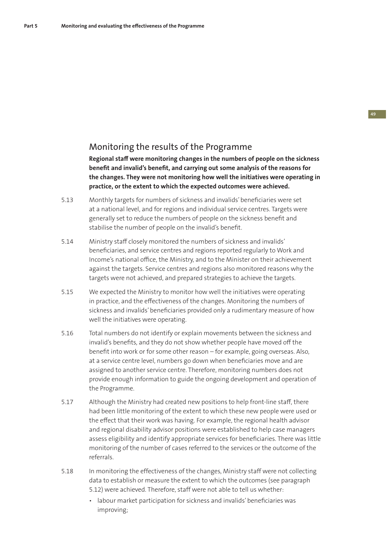## Monitoring the results of the Programme

**Regional staff were monitoring changes in the numbers of people on the sickness**  benefit and invalid's benefit, and carrying out some analysis of the reasons for **the changes. They were not monitoring how well the initiatives were operating in practice, or the extent to which the expected outcomes were achieved.**

- 5.13 Monthly targets for numbers of sickness and invalids' beneficiaries were set at a national level, and for regions and individual service centres. Targets were generally set to reduce the numbers of people on the sickness benefit and stabilise the number of people on the invalid's benefit.
- 5.14 Ministry staff closely monitored the numbers of sickness and invalids' beneficiaries, and service centres and regions reported regularly to Work and Income's national office, the Ministry, and to the Minister on their achievement against the targets. Service centres and regions also monitored reasons why the targets were not achieved, and prepared strategies to achieve the targets.
- 5.15 We expected the Ministry to monitor how well the initiatives were operating in practice, and the effectiveness of the changes. Monitoring the numbers of sickness and invalids' beneficiaries provided only a rudimentary measure of how well the initiatives were operating.
- 5.16 Total numbers do not identify or explain movements between the sickness and invalid's benefits, and they do not show whether people have moved off the benefit into work or for some other reason - for example, going overseas. Also, at a service centre level, numbers go down when beneficiaries move and are assigned to another service centre. Therefore, monitoring numbers does not provide enough information to guide the ongoing development and operation of the Programme.
- 5.17 Although the Ministry had created new positions to help front-line staff , there had been little monitoring of the extent to which these new people were used or the effect that their work was having. For example, the regional health advisor and regional disability advisor positions were established to help case managers assess eligibility and identify appropriate services for beneficiaries. There was little monitoring of the number of cases referred to the services or the outcome of the referrals.
- 5.18 In monitoring the effectiveness of the changes, Ministry staff were not collecting data to establish or measure the extent to which the outcomes (see paragraph 5.12) were achieved. Therefore, staff were not able to tell us whether:
	- labour market participation for sickness and invalids' beneficiaries was improving;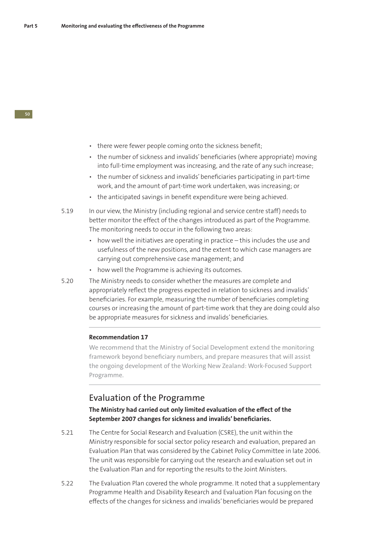- there were fewer people coming onto the sickness benefit;
- the number of sickness and invalids' beneficiaries (where appropriate) moving into full-time employment was increasing, and the rate of any such increase;
- the number of sickness and invalids' beneficiaries participating in part-time work, and the amount of part-time work undertaken, was increasing; or
- the anticipated savings in benefit expenditure were being achieved.
- 5.19 In our view, the Ministry (including regional and service centre staff) needs to better monitor the effect of the changes introduced as part of the Programme. The monitoring needs to occur in the following two areas:
	- how well the initiatives are operating in practice this includes the use and usefulness of the new positions, and the extent to which case managers are carrying out comprehensive case management; and
	- how well the Programme is achieving its outcomes.
- 5.20 The Ministry needs to consider whether the measures are complete and appropriately reflect the progress expected in relation to sickness and invalids' beneficiaries. For example, measuring the number of beneficiaries completing courses or increasing the amount of part-time work that they are doing could also be appropriate measures for sickness and invalids' beneficiaries.

#### **Recommendation 17**

We recommend that the Ministry of Social Development extend the monitoring framework beyond beneficiary numbers, and prepare measures that will assist the ongoing development of the Working New Zealand: Work-Focused Support Programme.

### Evaluation of the Programme

#### The Ministry had carried out only limited evaluation of the effect of the September 2007 changes for sickness and invalids' beneficiaries.

- 5.21 The Centre for Social Research and Evaluation (CSRE), the unit within the Ministry responsible for social sector policy research and evaluation, prepared an Evaluation Plan that was considered by the Cabinet Policy Committee in late 2006. The unit was responsible for carrying out the research and evaluation set out in the Evaluation Plan and for reporting the results to the Joint Ministers.
- 5.22 The Evaluation Plan covered the whole programme. It noted that a supplementary Programme Health and Disability Research and Evaluation Plan focusing on the effects of the changes for sickness and invalids' beneficiaries would be prepared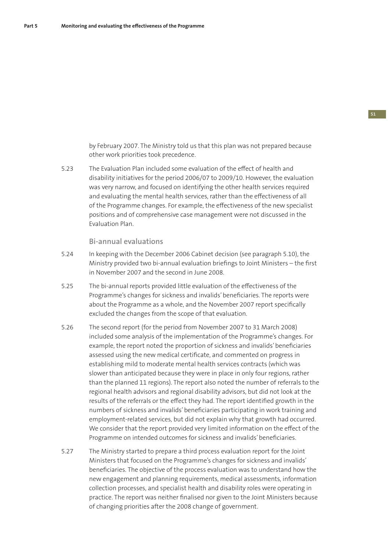by February 2007. The Ministry told us that this plan was not prepared because other work priorities took precedence.

5.23 The Evaluation Plan included some evaluation of the effect of health and disability initiatives for the period 2006/07 to 2009/10. However, the evaluation was very narrow, and focused on identifying the other health services required and evaluating the mental health services, rather than the effectiveness of all of the Programme changes. For example, the effectiveness of the new specialist positions and of comprehensive case management were not discussed in the Evaluation Plan.

#### **Bi-annual evaluations**

- 5.24 In keeping with the December 2006 Cabinet decision (see paragraph 5.10), the Ministry provided two bi-annual evaluation briefings to Joint Ministers – the first in November 2007 and the second in June 2008.
- 5.25 The bi-annual reports provided little evaluation of the effectiveness of the Programme's changes for sickness and invalids' beneficiaries. The reports were about the Programme as a whole, and the November 2007 report specifically excluded the changes from the scope of that evaluation.
- 5.26 The second report (for the period from November 2007 to 31 March 2008) included some analysis of the implementation of the Programme's changes. For example, the report noted the proportion of sickness and invalids' beneficiaries assessed using the new medical certificate, and commented on progress in establishing mild to moderate mental health services contracts (which was slower than anticipated because they were in place in only four regions, rather than the planned 11 regions). The report also noted the number of referrals to the regional health advisors and regional disability advisors, but did not look at the results of the referrals or the effect they had. The report identified growth in the numbers of sickness and invalids' beneficiaries participating in work training and employment-related services, but did not explain why that growth had occurred. We consider that the report provided very limited information on the effect of the Programme on intended outcomes for sickness and invalids' beneficiaries.
- 5.27 The Ministry started to prepare a third process evaluation report for the Joint Ministers that focused on the Programme's changes for sickness and invalids' beneficiaries. The objective of the process evaluation was to understand how the new engagement and planning requirements, medical assessments, information collection processes, and specialist health and disability roles were operating in practice. The report was neither finalised nor given to the Joint Ministers because of changing priorities after the 2008 change of government.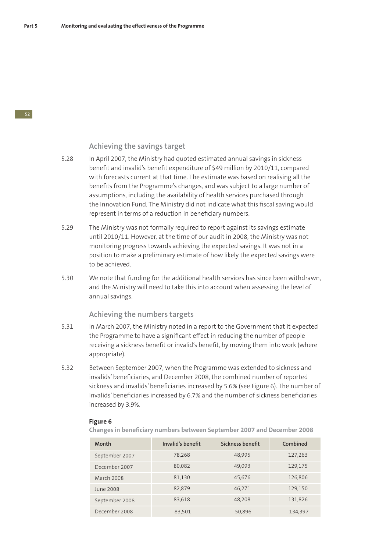#### **Achieving the savings target**

- 5.28 In April 2007, the Ministry had quoted estimated annual savings in sickness benefit and invalid's benefit expenditure of \$49 million by 2010/11, compared with forecasts current at that time. The estimate was based on realising all the benefits from the Programme's changes, and was subject to a large number of assumptions, including the availability of health services purchased through the Innovation Fund. The Ministry did not indicate what this fiscal saving would represent in terms of a reduction in beneficiary numbers.
- 5.29 The Ministry was not formally required to report against its savings estimate until 2010/11. However, at the time of our audit in 2008, the Ministry was not monitoring progress towards achieving the expected savings. It was not in a position to make a preliminary estimate of how likely the expected savings were to be achieved.
- 5.30 We note that funding for the additional health services has since been withdrawn, and the Ministry will need to take this into account when assessing the level of annual savings.

#### **Achieving the numbers targets**

- 5.31 In March 2007, the Ministry noted in a report to the Government that it expected the Programme to have a significant effect in reducing the number of people receiving a sickness benefit or invalid's benefit, by moving them into work (where appropriate).
- 5.32 Between September 2007, when the Programme was extended to sickness and invalids' beneficiaries, and December 2008, the combined number of reported sickness and invalids' beneficiaries increased by 5.6% (see Figure 6). The number of invalids' beneficiaries increased by 6.7% and the number of sickness beneficiaries increased by 3.9%.

#### **Figure 6**

**Changes in beneficiary numbers between September 2007 and December 2008** 

| Month             | Invalid's benefit | Sickness benefit | Combined |
|-------------------|-------------------|------------------|----------|
| September 2007    | 78,268            | 48,995           | 127,263  |
| December 2007     | 80,082            | 49,093           | 129,175  |
| <b>March 2008</b> | 81,130            | 45.676           | 126,806  |
| June 2008         | 82.879            | 46.271           | 129,150  |
| September 2008    | 83,618            | 48,208           | 131,826  |
| December 2008     | 83,501            | 50,896           | 134,397  |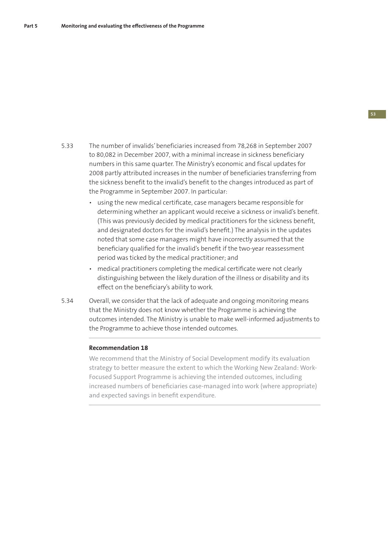5.33 The number of invalids' beneficiaries increased from 78,268 in September 2007 to 80,082 in December 2007, with a minimal increase in sickness beneficiary numbers in this same quarter. The Ministry's economic and fiscal updates for 2008 partly attributed increases in the number of beneficiaries transferring from the sickness benefit to the invalid's benefit to the changes introduced as part of the Programme in September 2007. In particular:

- using the new medical certificate, case managers became responsible for determining whether an applicant would receive a sickness or invalid's benefit. (This was previously decided by medical practitioners for the sickness benefit, and designated doctors for the invalid's benefit.) The analysis in the updates noted that some case managers might have incorrectly assumed that the beneficiary qualified for the invalid's benefit if the two-year reassessment period was ticked by the medical practitioner; and
- medical practitioners completing the medical certificate were not clearly distinguishing between the likely duration of the illness or disability and its effect on the beneficiary's ability to work.
- 5.34 Overall, we consider that the lack of adequate and ongoing monitoring means that the Ministry does not know whether the Programme is achieving the outcomes intended. The Ministry is unable to make well-informed adjustments to the Programme to achieve those intended outcomes.

#### **Recommendation 18**

We recommend that the Ministry of Social Development modify its evaluation strategy to better measure the extent to which the Working New Zealand: Work-Focused Support Programme is achieving the intended outcomes, including increased numbers of beneficiaries case-managed into work (where appropriate) and expected savings in benefit expenditure.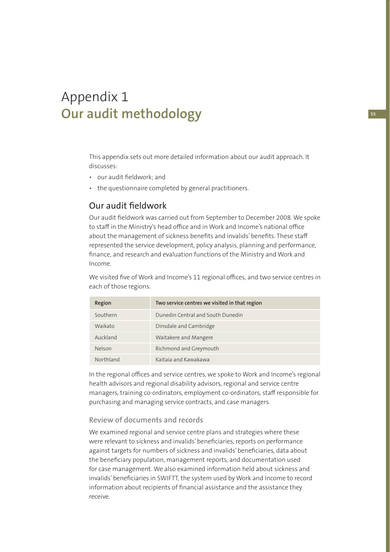## Appendix 1 **Our audit methodology**

This appendix sets out more detailed information about our audit approach. It discusses:

- our audit fieldwork; and
- the questionnaire completed by general practitioners.

## Our audit fieldwork

Our audit fieldwork was carried out from September to December 2008. We spoke to staff in the Ministry's head office and in Work and Income's national office about the management of sickness benefits and invalids' benefits. These staff represented the service development, policy analysis, planning and performance, finance, and research and evaluation functions of the Ministry and Work and Income.

We visited five of Work and Income's 11 regional offices, and two service centres in each of those regions.

| Region    | Two service centres we visited in that region |
|-----------|-----------------------------------------------|
| Southern  | Dunedin Central and South Dunedin             |
| Waikato   | Dinsdale and Cambridge                        |
| Auckland  | Waitakere and Mangere                         |
| Nelson    | Richmond and Greymouth                        |
| Northland | Kaitaia and Kawakawa                          |

In the regional offices and service centres, we spoke to Work and Income's regional health advisors and regional disability advisors, regional and service centre managers, training co-ordinators, employment co-ordinators, staff responsible for purchasing and managing service contracts, and case managers.

### **Review of documents and records**

We examined regional and service centre plans and strategies where these were relevant to sickness and invalids' beneficiaries, reports on performance against targets for numbers of sickness and invalids' beneficiaries, data about the beneficiary population, management reports, and documentation used for case management. We also examined information held about sickness and invalids' beneficiaries in SWIFTT, the system used by Work and Income to record information about recipients of financial assistance and the assistance they receive.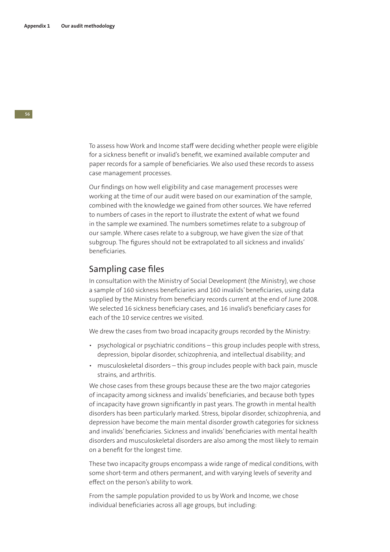To assess how Work and Income staff were deciding whether people were eligible for a sickness benefit or invalid's benefit, we examined available computer and paper records for a sample of beneficiaries. We also used these records to assess case management processes.

Our findings on how well eligibility and case management processes were working at the time of our audit were based on our examination of the sample, combined with the knowledge we gained from other sources. We have referred to numbers of cases in the report to illustrate the extent of what we found in the sample we examined. The numbers sometimes relate to a subgroup of our sample. Where cases relate to a subgroup, we have given the size of that subgroup. The figures should not be extrapolated to all sickness and invalids' **beneficiaries** 

### Sampling case files

In consultation with the Ministry of Social Development (the Ministry), we chose a sample of 160 sickness beneficiaries and 160 invalids' beneficiaries, using data supplied by the Ministry from beneficiary records current at the end of June 2008. We selected 16 sickness beneficiary cases, and 16 invalid's beneficiary cases for each of the 10 service centres we visited.

We drew the cases from two broad incapacity groups recorded by the Ministry:

- psychological or psychiatric conditions this group includes people with stress, depression, bipolar disorder, schizophrenia, and intellectual disability; and
- musculoskeletal disorders this group includes people with back pain, muscle strains, and arthritis.

We chose cases from these groups because these are the two major categories of incapacity among sickness and invalids' beneficiaries, and because both types of incapacity have grown significantly in past years. The growth in mental health disorders has been particularly marked. Stress, bipolar disorder, schizophrenia, and depression have become the main mental disorder growth categories for sickness and invalids' beneficiaries. Sickness and invalids' beneficiaries with mental health disorders and musculoskeletal disorders are also among the most likely to remain on a benefit for the longest time.

These two incapacity groups encompass a wide range of medical conditions, with some short-term and others permanent, and with varying levels of severity and effect on the person's ability to work.

From the sample population provided to us by Work and Income, we chose individual beneficiaries across all age groups, but including: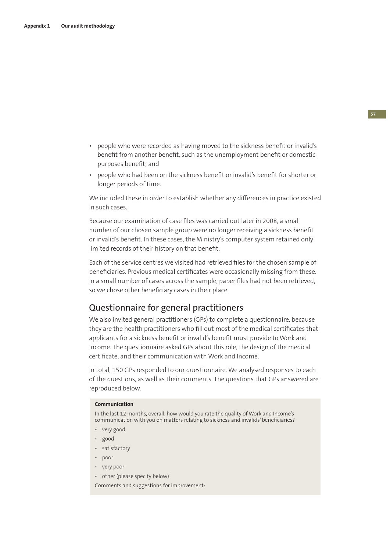- people who were recorded as having moved to the sickness benefit or invalid's benefit from another benefit, such as the unemployment benefit or domestic purposes benefit: and
- people who had been on the sickness benefit or invalid's benefit for shorter or longer periods of time.

We included these in order to establish whether any differences in practice existed in such cases.

Because our examination of case files was carried out later in 2008, a small number of our chosen sample group were no longer receiving a sickness benefit or invalid's benefit. In these cases, the Ministry's computer system retained only limited records of their history on that benefit.

Each of the service centres we visited had retrieved files for the chosen sample of beneficiaries. Previous medical certificates were occasionally missing from these. In a small number of cases across the sample, paper files had not been retrieved, so we chose other beneficiary cases in their place.

### Questionnaire for general practitioners

We also invited general practitioners (GPs) to complete a questionnaire, because they are the health practitioners who fill out most of the medical certificates that applicants for a sickness benefit or invalid's benefit must provide to Work and Income. The questionnaire asked GPs about this role, the design of the medical certificate, and their communication with Work and Income.

In total, 150 GPs responded to our questionnaire. We analysed responses to each of the questions, as well as their comments. The questions that GPs answered are reproduced below.

#### **Communication**

In the last 12 months, overall, how would you rate the quality of Work and Income's communication with you on matters relating to sickness and invalids' beneficiaries?

- very good
- good
- satisfactory
- poor
- very poor
- other (please specify below)

Comments and suggestions for improvement: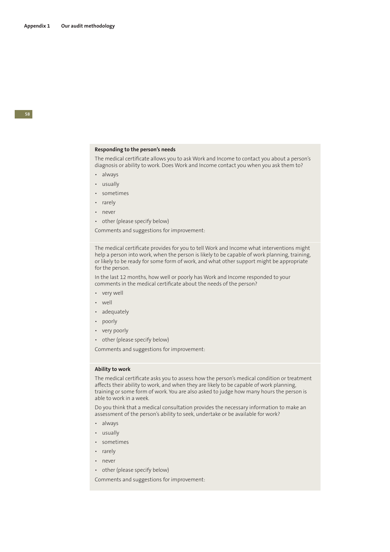#### **Responding to the person's needs**

The medical certificate allows you to ask Work and Income to contact you about a person's diagnosis or ability to work. Does Work and Income contact you when you ask them to?

- always
- usually
- sometimes
- rarely
- never
- other (please specify below)

Comments and suggestions for improvement:

The medical certificate provides for you to tell Work and Income what interventions might help a person into work, when the person is likely to be capable of work planning, training, or likely to be ready for some form of work, and what other support might be appropriate for the person.

In the last 12 months, how well or poorly has Work and Income responded to your comments in the medical certificate about the needs of the person?

- very well
- well
- adequately
- poorly
- very poorly
- other (please specify below)

Comments and suggestions for improvement:

#### **Ability to work**

The medical certificate asks you to assess how the person's medical condition or treatment affects their ability to work, and when they are likely to be capable of work planning, training or some form of work. You are also asked to judge how many hours the person is able to work in a week.

Do you think that a medical consultation provides the necessary information to make an assessment of the person's ability to seek, undertake or be available for work?

- always
- usually
- sometimes
- rarely
- never
- other (please specify below)

Comments and suggestions for improvement: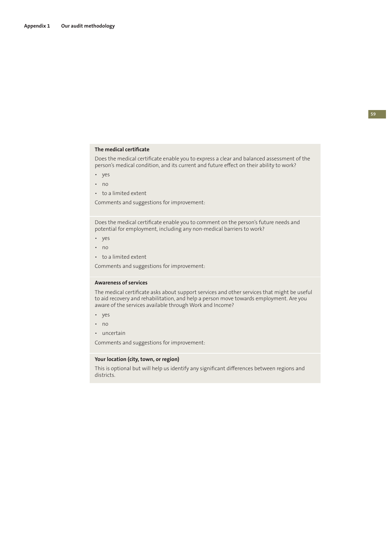#### **The medical certificate**

Does the medical certificate enable you to express a clear and balanced assessment of the person's medical condition, and its current and future effect on their ability to work?

- yes
- no
- to a limited extent

Comments and suggestions for improvement:

Does the medical certificate enable you to comment on the person's future needs and potential for employment, including any non-medical barriers to work?

- yes
- no
- to a limited extent

Comments and suggestions for improvement:

#### **Awareness of services**

The medical certificate asks about support services and other services that might be useful to aid recovery and rehabilitation, and help a person move towards employment. Are you aware of the services available through Work and Income?

- yes
- no
- uncertain

Comments and suggestions for improvement:

#### **Your location (city, town, or region)**

This is optional but will help us identify any significant differences between regions and districts.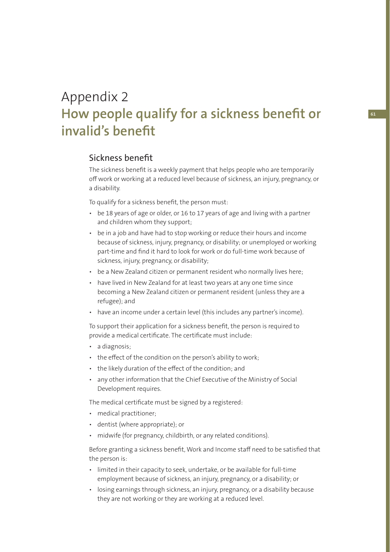# Appendix 2 **How people qualify for a sickness benefit or** invalid's benefit

## Sickness benefit

The sickness benefit is a weekly payment that helps people who are temporarily off work or working at a reduced level because of sickness, an injury, pregnancy, or a disability.

To qualify for a sickness benefit, the person must:

- be 18 years of age or older, or 16 to 17 years of age and living with a partner and children whom they support;
- be in a job and have had to stop working or reduce their hours and income because of sickness, injury, pregnancy, or disability; or unemployed or working part-time and find it hard to look for work or do full-time work because of sickness, injury, pregnancy, or disability;
- be a New Zealand citizen or permanent resident who normally lives here;
- have lived in New Zealand for at least two years at any one time since becoming a New Zealand citizen or permanent resident (unless they are a refugee); and
- have an income under a certain level (this includes any partner's income).

To support their application for a sickness benefit, the person is required to provide a medical certificate. The certificate must include:

- a diagnosis;
- the effect of the condition on the person's ability to work;
- the likely duration of the effect of the condition; and
- any other information that the Chief Executive of the Ministry of Social Development requires.

The medical certificate must be signed by a registered:

- medical practitioner;
- dentist (where appropriate); or
- midwife (for pregnancy, childbirth, or any related conditions).

Before granting a sickness benefit, Work and Income staff need to be satisfied that the person is:

- limited in their capacity to seek, undertake, or be available for full-time employment because of sickness, an injury, pregnancy, or a disability; or
- losing earnings through sickness, an injury, pregnancy, or a disability because they are not working or they are working at a reduced level.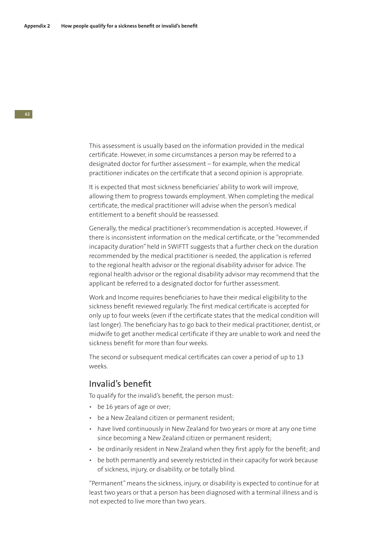This assessment is usually based on the information provided in the medical certificate. However, in some circumstances a person may be referred to a designated doctor for further assessment – for example, when the medical practitioner indicates on the certificate that a second opinion is appropriate.

It is expected that most sickness beneficiaries' ability to work will improve, allowing them to progress towards employment. When completing the medical certificate, the medical practitioner will advise when the person's medical entitlement to a benefit should be reassessed.

Generally, the medical practitioner's recommendation is accepted. However, if there is inconsistent information on the medical certificate, or the "recommended incapacity duration" held in SWIFTT suggests that a further check on the duration recommended by the medical practitioner is needed, the application is referred to the regional health advisor or the regional disability advisor for advice. The regional health advisor or the regional disability advisor may recommend that the applicant be referred to a designated doctor for further assessment.

Work and Income requires beneficiaries to have their medical eligibility to the sickness benefit reviewed regularly. The first medical certificate is accepted for only up to four weeks (even if the certificate states that the medical condition will last longer). The beneficiary has to go back to their medical practitioner, dentist, or midwife to get another medical certificate if they are unable to work and need the sickness benefit for more than four weeks.

The second or subsequent medical certificates can cover a period of up to 13 weeks.

### Invalid's benefit

To qualify for the invalid's benefit, the person must:

- be 16 years of age or over;
- be a New Zealand citizen or permanent resident;
- have lived continuously in New Zealand for two years or more at any one time since becoming a New Zealand citizen or permanent resident;
- be ordinarily resident in New Zealand when they first apply for the benefit; and
- be both permanently and severely restricted in their capacity for work because of sickness, injury, or disability, or be totally blind.

"Permanent" means the sickness, injury, or disability is expected to continue for at least two years or that a person has been diagnosed with a terminal illness and is not expected to live more than two years.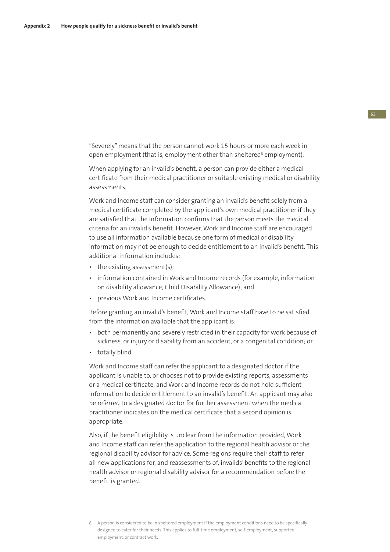"Severely" means that the person cannot work 15 hours or more each week in open employment (that is, employment other than sheltered<sup>8</sup> employment).

When applying for an invalid's benefit, a person can provide either a medical certificate from their medical practitioner or suitable existing medical or disability assessments.

Work and Income staff can consider granting an invalid's benefit solely from a medical certificate completed by the applicant's own medical practitioner if they are satisfied that the information confirms that the person meets the medical criteria for an invalid's benefit. However, Work and Income staff are encouraged to use all information available because one form of medical or disability information may not be enough to decide entitlement to an invalid's benefit. This additional information includes:

- the existing assessment(s);
- information contained in Work and Income records (for example, information on disability allowance, Child Disability Allowance); and
- previous Work and Income certificates.

Before granting an invalid's benefit, Work and Income staff have to be satisfied from the information available that the applicant is:

- both permanently and severely restricted in their capacity for work because of sickness, or injury or disability from an accident, or a congenital condition; or
- totally blind.

Work and Income staff can refer the applicant to a designated doctor if the applicant is unable to, or chooses not to provide existing reports, assessments or a medical certificate, and Work and Income records do not hold sufficient information to decide entitlement to an invalid's benefit. An applicant may also be referred to a designated doctor for further assessment when the medical practitioner indicates on the medical certificate that a second opinion is appropriate.

Also, if the benefit eligibility is unclear from the information provided, Work and Income staff can refer the application to the regional health advisor or the regional disability advisor for advice. Some regions require their staff to refer all new applications for, and reassessments of, invalids' benefits to the regional health advisor or regional disability advisor for a recommendation before the benefit is granted.

8 A person is considered to be in sheltered employment if the employment conditions need to be specifically designed to cater for their needs. This applies to full-time employment, self-employment, supported employment, or contract work.